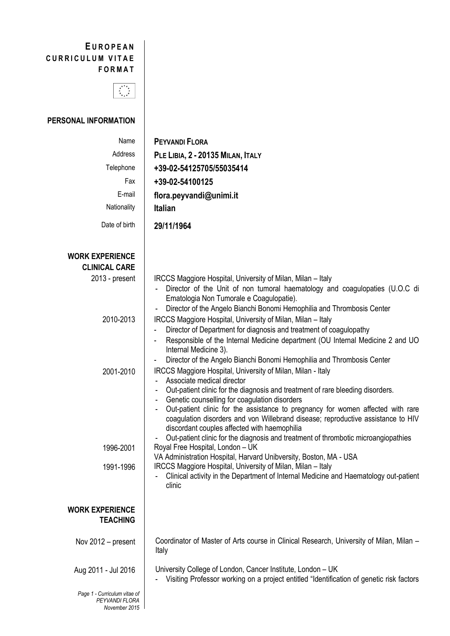# **E U R O P E A N** CURRICULUM VITAE **F O R M A T**



## **PERSONAL INFORMATION**

| Name<br>Address<br>Telephone<br>Fax<br>E-mail<br>Nationality<br>Date of birth | <b>PEYVANDI FLORA</b><br>PLE LIBIA, 2 - 20135 MILAN, ITALY<br>+39-02-54125705/55035414<br>+39-02-54100125<br>flora.peyvandi@unimi.it<br><b>Italian</b><br>29/11/1964                                                                                                                                                                                                                                                                                                                                                                      |
|-------------------------------------------------------------------------------|-------------------------------------------------------------------------------------------------------------------------------------------------------------------------------------------------------------------------------------------------------------------------------------------------------------------------------------------------------------------------------------------------------------------------------------------------------------------------------------------------------------------------------------------|
| <b>WORK EXPERIENCE</b><br><b>CLINICAL CARE</b><br>2013 - present              | IRCCS Maggiore Hospital, University of Milan, Milan – Italy<br>Director of the Unit of non tumoral haematology and coagulopaties (U.O.C di<br>Ematologia Non Tumorale e Coagulopatie).<br>Director of the Angelo Bianchi Bonomi Hemophilia and Thrombosis Center                                                                                                                                                                                                                                                                          |
| 2010-2013                                                                     | IRCCS Maggiore Hospital, University of Milan, Milan - Italy<br>Director of Department for diagnosis and treatment of coagulopathy<br>Responsible of the Internal Medicine department (OU Internal Medicine 2 and UO<br>Internal Medicine 3).<br>Director of the Angelo Bianchi Bonomi Hemophilia and Thrombosis Center<br>$\blacksquare$                                                                                                                                                                                                  |
| 2001-2010                                                                     | IRCCS Maggiore Hospital, University of Milan, Milan - Italy<br>Associate medical director<br>Out-patient clinic for the diagnosis and treatment of rare bleeding disorders.<br>Genetic counselling for coagulation disorders<br>Out-patient clinic for the assistance to pregnancy for women affected with rare<br>coagulation disorders and von Willebrand disease; reproductive assistance to HIV<br>discordant couples affected with haemophilia<br>Out-patient clinic for the diagnosis and treatment of thrombotic microangiopathies |
| 1996-2001                                                                     | Royal Free Hospital, London - UK<br>VA Administration Hospital, Harvard Unibversity, Boston, MA - USA                                                                                                                                                                                                                                                                                                                                                                                                                                     |
| 1991-1996                                                                     | IRCCS Maggiore Hospital, University of Milan, Milan - Italy<br>Clinical activity in the Department of Internal Medicine and Haematology out-patient<br>clinic                                                                                                                                                                                                                                                                                                                                                                             |
| <b>WORK EXPERIENCE</b><br><b>TEACHING</b>                                     |                                                                                                                                                                                                                                                                                                                                                                                                                                                                                                                                           |
| Nov 2012 - present                                                            | Coordinator of Master of Arts course in Clinical Research, University of Milan, Milan -<br>Italy                                                                                                                                                                                                                                                                                                                                                                                                                                          |
| Aug 2011 - Jul 2016                                                           | University College of London, Cancer Institute, London - UK<br>Visiting Professor working on a project entitled "Identification of genetic risk factors                                                                                                                                                                                                                                                                                                                                                                                   |
| Page 1 - Curriculum vitae of<br>PEYVANDI FLORA<br>November 2015               |                                                                                                                                                                                                                                                                                                                                                                                                                                                                                                                                           |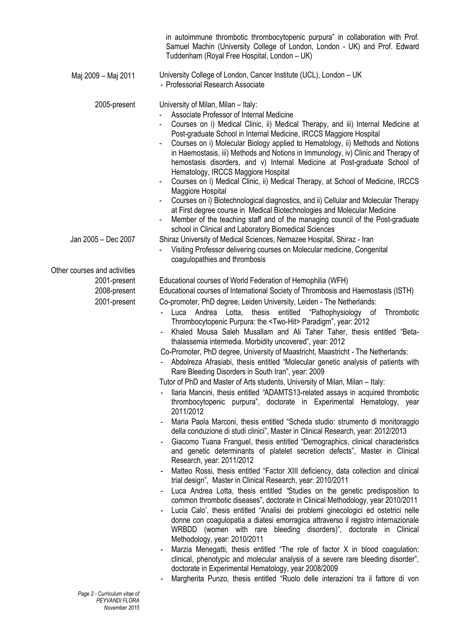|                                 | in autoimmune thrombotic thrombocytopenic purpura" in collaboration with Prof.<br>Samuel Machin (University College of London, London - UK) and Prof. Edward<br>Tuddenham (Royal Free Hospital, London - UK)                                                                                                                                                                                                                                                                                                                                                                                                                                                                                                                                                                                                                                                                                                                                                                                                                                                                                                                                                                                                                                                                                                                                                                                                                                                                                            |
|---------------------------------|---------------------------------------------------------------------------------------------------------------------------------------------------------------------------------------------------------------------------------------------------------------------------------------------------------------------------------------------------------------------------------------------------------------------------------------------------------------------------------------------------------------------------------------------------------------------------------------------------------------------------------------------------------------------------------------------------------------------------------------------------------------------------------------------------------------------------------------------------------------------------------------------------------------------------------------------------------------------------------------------------------------------------------------------------------------------------------------------------------------------------------------------------------------------------------------------------------------------------------------------------------------------------------------------------------------------------------------------------------------------------------------------------------------------------------------------------------------------------------------------------------|
| Maj 2009 - Maj 2011             | University College of London, Cancer Institute (UCL), London - UK<br>- Professorial Research Associate                                                                                                                                                                                                                                                                                                                                                                                                                                                                                                                                                                                                                                                                                                                                                                                                                                                                                                                                                                                                                                                                                                                                                                                                                                                                                                                                                                                                  |
| 2005-present                    | University of Milan, Milan - Italy:<br>Associate Professor of Internal Medicine<br>Courses on i) Medical Clinic, ii) Medical Therapy, and iii) Internal Medicine at<br>Post-graduate School in Internal Medicine, IRCCS Maggiore Hospital<br>Courses on i) Molecular Biology applied to Hematology, ii) Methods and Notions<br>in Haemostasis, iii) Methods and Notions in Immunology, iv) Clinic and Therapy of<br>hemostasis disorders, and v) Internal Medicine at Post-graduate School of<br>Hematology, IRCCS Maggiore Hospital<br>Courses on i) Medical Clinic, ii) Medical Therapy, at School of Medicine, IRCCS<br>Maggiore Hospital<br>Courses on i) Biotechnological diagnostics, and ii) Cellular and Molecular Therapy<br>at First degree course in Medical Biotechnologies and Molecular Medicine<br>Member of the teaching staff and of the managing council of the Post-graduate                                                                                                                                                                                                                                                                                                                                                                                                                                                                                                                                                                                                         |
| Jan 2005 - Dec 2007             | school in Clinical and Laboratory Biomedical Sciences<br>Shiraz University of Medical Sciences, Nemazee Hospital, Shiraz - Iran<br>Visiting Professor delivering courses on Molecular medicine, Congenital                                                                                                                                                                                                                                                                                                                                                                                                                                                                                                                                                                                                                                                                                                                                                                                                                                                                                                                                                                                                                                                                                                                                                                                                                                                                                              |
|                                 | coagulopathies and thrombosis                                                                                                                                                                                                                                                                                                                                                                                                                                                                                                                                                                                                                                                                                                                                                                                                                                                                                                                                                                                                                                                                                                                                                                                                                                                                                                                                                                                                                                                                           |
| Other courses and activities    |                                                                                                                                                                                                                                                                                                                                                                                                                                                                                                                                                                                                                                                                                                                                                                                                                                                                                                                                                                                                                                                                                                                                                                                                                                                                                                                                                                                                                                                                                                         |
| 2001-present                    | Educational courses of World Federation of Hemophilia (WFH)                                                                                                                                                                                                                                                                                                                                                                                                                                                                                                                                                                                                                                                                                                                                                                                                                                                                                                                                                                                                                                                                                                                                                                                                                                                                                                                                                                                                                                             |
| 2008-present<br>2001-present    | Educational courses of International Society of Thrombosis and Haemostasis (ISTH)<br>Co-promoter, PhD degree, Leiden University, Leiden - The Netherlands:                                                                                                                                                                                                                                                                                                                                                                                                                                                                                                                                                                                                                                                                                                                                                                                                                                                                                                                                                                                                                                                                                                                                                                                                                                                                                                                                              |
|                                 | entitled<br>"Pathophysiology of<br>Thrombotic<br>Andrea Lotta, thesis<br>Luca<br>Thrombocytopenic Purpura: the <two-hit> Paradigm", year: 2012<br/>Khaled Mousa Saleh Musallam and Ali Taher Taher, thesis entitled "Beta-<br/>thalassemia intermedia. Morbidity uncovered", year: 2012<br/>Co-Promoter, PhD degree, University of Maastricht, Maastricht - The Netherlands:<br/>Abdolreza Afrasiabi, thesis entitled "Molecular genetic analysis of patients with<br/>Rare Bleeding Disorders in South Iran", year: 2009<br/>Tutor of PhD and Master of Arts students, University of Milan, Milan - Italy:<br/>Ilaria Mancini, thesis entitled "ADAMTS13-related assays in acquired thrombotic<br/>thrombocytopenic purpura", doctorate in Experimental Hematology, year<br/>2011/2012<br/>Maria Paola Marconi, thesis entitled "Scheda studio: strumento di monitoraggio<br/>della conduzione di studi clinici", Master in Clinical Research, year: 2012/2013<br/>Giacomo Tuana Franguel, thesis entitled "Demographics, clinical characteristics<br/>and genetic determinants of platelet secretion defects", Master in Clinical<br/>Research, year: 2011/2012<br/>Matteo Rossi, thesis entitled "Factor XIII deficiency, data collection and clinical<br/>trial design", Master in Clinical Research, year: 2010/2011<br/>Luca Andrea Lotta, thesis entitled "Studies on the genetic predisposition to<br/>common thrombotic diseases", doctorate in Clinical Methodology, year 2010/2011</two-hit> |
|                                 | Lucia Calo', thesis entitled "Analisi dei problemi ginecologici ed ostetrici nelle<br>donne con coagulopatia a diatesi emorragica attraverso il registro internazionale<br>WRBDD (women with rare bleeding disorders)", doctorate in Clinical<br>Methodology, year: 2010/2011<br>Marzia Menegatti, thesis entitled "The role of factor X in blood coagulation:<br>clinical, phenotypic and molecular analysis of a severe rare bleeding disorder",<br>doctorate in Experimental Hematology, year 2008/2009<br>Margherita Punzo, thesis entitled "Ruolo delle interazioni tra il fattore di von<br>۰                                                                                                                                                                                                                                                                                                                                                                                                                                                                                                                                                                                                                                                                                                                                                                                                                                                                                                     |
| $D_{200}$ 2 Curriculum vitoo of |                                                                                                                                                                                                                                                                                                                                                                                                                                                                                                                                                                                                                                                                                                                                                                                                                                                                                                                                                                                                                                                                                                                                                                                                                                                                                                                                                                                                                                                                                                         |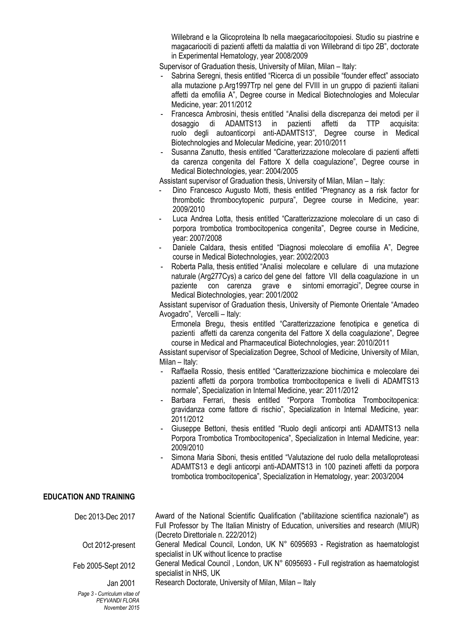Willebrand e la Glicoproteina Ib nella maegacariocitopoiesi. Studio su piastrine e magacariociti di pazienti affetti da malattia di von Willebrand di tipo 2B", doctorate in Experimental Hematology, year 2008/2009

Supervisor of Graduation thesis, University of Milan, Milan – Italy:

- Sabrina Seregni, thesis entitled "Ricerca di un possibile "founder effect" associato alla mutazione p.Arg1997Trp nel gene del FVIII in un gruppo di pazienti italiani affetti da emofilia A", Degree course in Medical Biotechnologies and Molecular Medicine, year: 2011/2012
- Francesca Ambrosini, thesis entitled "Analisi della discrepanza dei metodi per il<br>dosaggio di ADAMTS13 in pazienti affetti da TTP acquisita: dosaggio di ADAMTS13 in pazienti affetti da TTP acquisita: ruolo degli autoanticorpi anti-ADAMTS13", Degree course in Medical Biotechnologies and Molecular Medicine, year: 2010/2011
- Susanna Zanutto, thesis entitled "Caratterizzazione molecolare di pazienti affetti da carenza congenita del Fattore X della coagulazione", Degree course in Medical Biotechnologies, year: 2004/2005

Assistant supervisor of Graduation thesis, University of Milan, Milan – Italy:

- Dino Francesco Augusto Motti, thesis entitled "Pregnancy as a risk factor for thrombotic thrombocytopenic purpura", Degree course in Medicine, year: 2009/2010
- Luca Andrea Lotta, thesis entitled "Caratterizzazione molecolare di un caso di porpora trombotica trombocitopenica congenita", Degree course in Medicine, year: 2007/2008
- Daniele Caldara, thesis entitled "Diagnosi molecolare di emofilia A", Degree course in Medical Biotechnologies, year: 2002/2003
- Roberta Palla, thesis entitled "Analisi molecolare e cellulare di una mutazione naturale (Arg277Cys) a carico del gene del fattore VII della coagulazione in un paziente con carenza grave e sintomi emorragici", Degree course in Medical Biotechnologies, year: 2001/2002

Assistant supervisor of Graduation thesis, University of Piemonte Orientale "Amadeo Avogadro", Vercelli – Italy:

Ermonela Bregu, thesis entitled "Caratterizzazione fenotipica e genetica di pazienti affetti da carenza congenita del Fattore X della coagulazione", Degree course in Medical and Pharmaceutical Biotechnologies, year: 2010/2011

Assistant supervisor of Specialization Degree, School of Medicine, University of Milan, Milan – Italy:

- Raffaella Rossio, thesis entitled "Caratterizzazione biochimica e molecolare dei pazienti affetti da porpora trombotica trombocitopenica e livelli di ADAMTS13 normale", Specialization in Internal Medicine, year: 2011/2012
- Barbara Ferrari, thesis entitled "Porpora Trombotica Trombocitopenica: gravidanza come fattore di rischio", Specialization in Internal Medicine, year: 2011/2012
- Giuseppe Bettoni, thesis entitled "Ruolo degli anticorpi anti ADAMTS13 nella Porpora Trombotica Trombocitopenica", Specialization in Internal Medicine, year: 2009/2010
- Simona Maria Siboni, thesis entitled "Valutazione del ruolo della metalloproteasi ADAMTS13 e degli anticorpi anti-ADAMTS13 in 100 pazineti affetti da porpora trombotica trombocitopenica", Specialization in Hematology, year: 2003/2004

#### **EDUCATION AND TRAINING**

Dec 2013-Dec 2017 Award of the National Scientific Qualification ("abilitazione scientifica nazionale") as Full Professor by The Italian Ministry of Education, universities and research (MIUR) (Decreto Direttoriale n. 222/2012)

> General Medical Council, London, UK N° 6095693 - Registration as haematologist specialist in UK without licence to practise

> General Medical Council , London, UK N° 6095693 - Full registration as haematologist specialist in NHS, UK

Jan 2001 Research Doctorate, University of Milan, Milan – Italy

*Page 3 - Curriculum vitae of PEYVANDI FLORA November 2015*

Oct 2012-present

Feb 2005-Sept 2012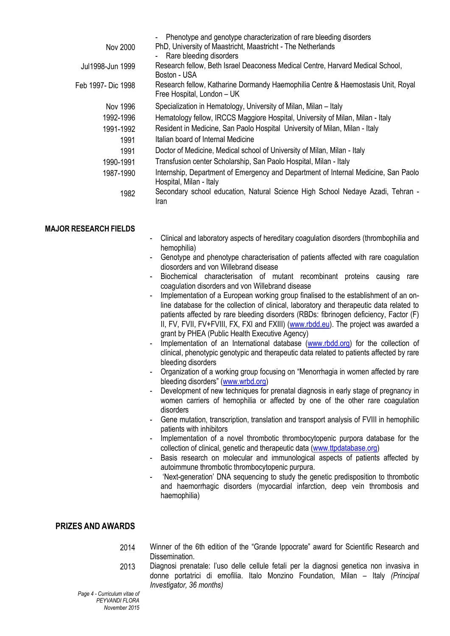|                    | - Phenotype and genotype characterization of rare bleeding disorders                                           |
|--------------------|----------------------------------------------------------------------------------------------------------------|
| Nov 2000           | PhD, University of Maastricht, Maastricht - The Netherlands                                                    |
|                    | Rare bleeding disorders                                                                                        |
| Jul1998-Jun 1999   | Research fellow, Beth Israel Deaconess Medical Centre, Harvard Medical School,<br>Boston - USA                 |
| Feb 1997- Dic 1998 | Research fellow, Katharine Dormandy Haemophilia Centre & Haemostasis Unit, Royal<br>Free Hospital, London - UK |
| Nov 1996           | Specialization in Hematology, University of Milan, Milan – Italy                                               |
| 1992-1996          | Hematology fellow, IRCCS Maggiore Hospital, University of Milan, Milan - Italy                                 |
| 1991-1992          | Resident in Medicine, San Paolo Hospital University of Milan, Milan - Italy                                    |
| 1991               | Italian board of Internal Medicine                                                                             |
| 1991               | Doctor of Medicine, Medical school of University of Milan, Milan - Italy                                       |
| 1990-1991          | Transfusion center Scholarship, San Paolo Hospital, Milan - Italy                                              |
| 1987-1990          | Internship, Department of Emergency and Department of Internal Medicine, San Paolo<br>Hospital, Milan - Italy  |
| 1982               | Secondary school education, Natural Science High School Nedaye Azadi, Tehran -<br>Iran                         |

### **MAJOR RESEARCH FIELDS**

- Clinical and laboratory aspects of hereditary coagulation disorders (thrombophilia and hemophilia)
- Genotype and phenotype characterisation of patients affected with rare coagulation diosorders and von Willebrand disease
- Biochemical characterisation of mutant recombinant proteins causing rare coagulation disorders and von Willebrand disease
- Implementation of a European working group finalised to the establishment of an online database for the collection of clinical, laboratory and therapeutic data related to patients affected by rare bleeding disorders (RBDs: fibrinogen deficiency, Factor (F) II, FV, FVII, FV+FVIII, FX, FXI and FXIII) [\(www.rbdd.eu\)](http://www.rbdd.eu/). The project was awarded a grant by PHEA (Public Health Executive Agency)
- Implementation of an International database [\(www.rbdd.org\)](http://www.rbdd.org/) for the collection of clinical, phenotypic genotypic and therapeutic data related to patients affected by rare bleeding disorders
- Organization of a working group focusing on "Menorrhagia in women affected by rare bleeding disorders" [\(www.wrbd.org\)](http://www.wrbd.org/)
- Development of new techniques for prenatal diagnosis in early stage of pregnancy in women carriers of hemophilia or affected by one of the other rare coagulation disorders
- Gene mutation, transcription, translation and transport analysis of FVIII in hemophilic patients with inhibitors
- Implementation of a novel thrombotic thrombocytopenic purpora database for the collection of clinical, genetic and therapeutic data [\(www.ttpdatabase.org\)](http://www.ttpdatabase.org/)
- Basis research on molecular and immunological aspects of patients affected by autoimmune thrombotic thrombocytopenic purpura.
- 'Next-generation' DNA sequencing to study the genetic predisposition to thrombotic and haemorrhagic disorders (myocardial infarction, deep vein thrombosis and haemophilia)

## **PRIZES AND AWARDS**

- 2014 Winner of the 6th edition of the "Grande Ippocrate" award for Scientific Research and Dissemination.
- 2013 Diagnosi prenatale: l'uso delle cellule fetali per la diagnosi genetica non invasiva in donne portatrici di emofilia. Italo Monzino Foundation, Milan – Italy *(Principal Investigator, 36 months)*

*Page 4 - Curriculum vitae of PEYVANDI FLORA November 2015*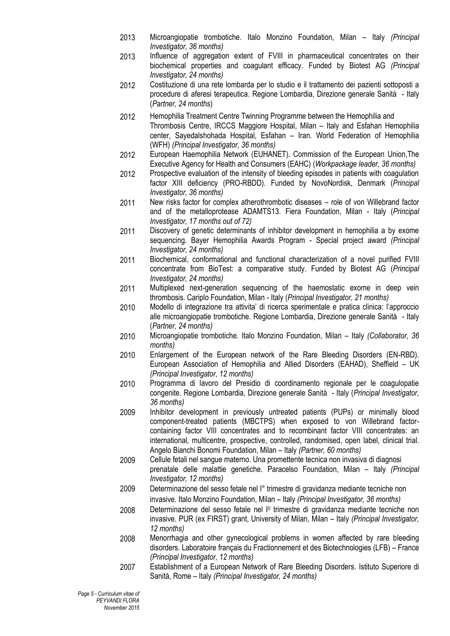- 2013 Microangiopatie trombotiche. Italo Monzino Foundation, Milan Italy *(Principal Investigator, 36 months)*
- 2013 Influence of aggregation extent of FVIII in pharmaceutical concentrates on their biochemical properties and coagulant efficacy. Funded by Biotest AG *(Principal Investigator, 24 months)*
- 2012 Costituzione di una rete lombarda per lo studio e il trattamento dei pazienti sottoposti a procedure di aferesi terapeutica. Regione Lombardia, Direzione generale Sanità - Italy (*Partner, 24 months*)
- 2012 Hemophilia Treatment Centre Twinning Programme between the Hemophilia and Thrombosis Centre, IRCCS Maggiore Hospital, Milan – Italy and Esfahan Hemophilia center, Sayedalshohada Hospital, Esfahan – Iran. World Federation of Hemophilia (WFH) *(Principal Investigator, 36 months)*
- 2012 European Haemophilia Network (EUHANET). Commission of the European Union,The Executive Agency for Health and Consumers (EAHC) (*Workpackage leader, 36 months)*
- 2012 Prospective evaluation of the intensity of bleeding episodes in patients with coagulation factor XIII deficiency (PRO-RBDD). Funded by NovoNordisk, Denmark (*Principal Investigator, 36 months)*
- 2011 New risks factor for complex atherothrombotic diseases role of von Willebrand factor and of the metalloprotease ADAMTS13. Fiera Foundation, Milan - Italy (*Principal Investigator, 17 months out of 72)*
- 2011 Discovery of genetic determinants of inhibitor development in hemophilia a by exome sequencing. Bayer Hemophilia Awards Program - Special project award *(Principal Investigator, 24 months)*
- 2011 Biochemical, conformational and functional characterization of a novel purified FVIII concentrate from BioTest: a comparative study. Funded by Biotest AG (*Principal Investigator, 24 months)*
- 2011 Multiplexed next-generation sequencing of the haemostatic exome in deep vein thrombosis. Cariplo Foundation, Milan - Italy (*Principal Investigator, 21 months)*
- 2010 Modello di integrazione tra attivita' di ricerca sperimentale e pratica clinica: l'approccio alle microangiopatie trombotiche. Regione Lombardia, Direzione generale Sanità - Italy (*Partner, 24 months)*
- 2010 Microangiopatie trombotiche. Italo Monzino Foundation, Milan Italy *(Collaborator, 36 months)*
- 2010 Enlargement of the European network of the Rare Bleeding Disorders (EN-RBD). European Association of Hemophilia and Allied Disorders (EAHAD), Sheffield – UK *(Principal Investigator, 12 months)*
- 2010 Programma di lavoro del Presidio di coordinamento regionale per le coagulopatie congenite. Regione Lombardia, Direzione generale Sanità - Italy (*Principal Investigator, 36 months)*
- 2009 Inhibitor development in previously untreated patients (PUPs) or minimally blood component-treated patients (MBCTPS) when exposed to von Willebrand factorcontaining factor VIII concentrates and to recombinant factor VIII concentrates: an international, multicentre, prospective, controlled, randomised, open label, clinical trial. Angelo Bianchi Bonomi Foundation, Milan – Italy *(Partner, 60 months)*
- 2009 Cellule fetali nel sangue materno. Una promettente tecnica non invasiva di diagnosi prenatale delle malattie genetiche. Paracelso Foundation, Milan – Italy *(Principal Investigator, 12 months)*
- 2009 Determinazione del sesso fetale nel l° trimestre di gravidanza mediante tecniche non invasive. Italo Monzino Foundation, Milan – Italy *(Principal Investigator, 36 months)*
- 2008 Determinazione del sesso fetale nel l<sup>o</sup> trimestre di gravidanza mediante tecniche non invasive. PUR (ex FIRST) grant, University of Milan, Milan – Italy *(Principal Investigator, 12 months)*
- 2008 Menorrhagia and other gynecological problems in women affected by rare bleeding disorders. Laboratoire français du Fractionnement et des Biotechnologies (LFB) – France *(Principal Investigator, 12 months)*
- 2007 Establishment of a European Network of Rare Bleeding Disorders. Istituto Superiore di Sanità, Rome – Italy *(Principal Investigator, 24 months)*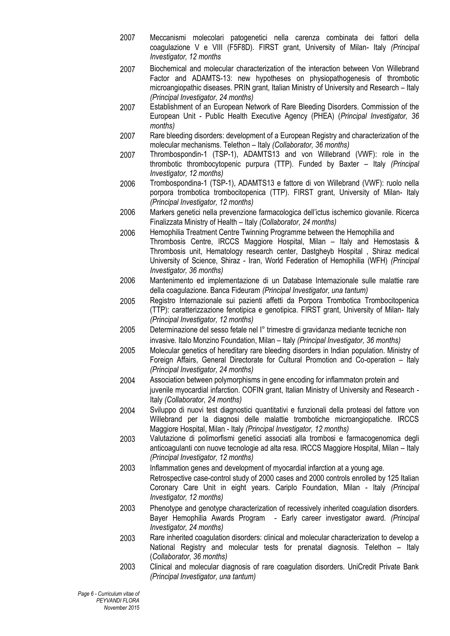- 2007 Meccanismi molecolari patogenetici nella carenza combinata dei fattori della coagulazione V e VIII (F5F8D). FIRST grant, University of Milan- Italy *(Principal Investigator, 12 months*
- 2007 Biochemical and molecular characterization of the interaction between Von Willebrand Factor and ADAMTS-13: new hypotheses on physiopathogenesis of thrombotic microangiopathic diseases. PRIN grant, Italian Ministry of University and Research – Italy *(Principal Investigator, 24 months)*
- 2007 Establishment of an European Network of Rare Bleeding Disorders. Commission of the European Unit - Public Health Executive Agency (PHEA) (*Principal Investigator, 36 months)*
- 2007 Rare bleeding disorders: development of a European Registry and characterization of the molecular mechanisms. Telethon – Italy *(Collaborator, 36 months)*
- 2007 Thrombospondin-1 (TSP-1), ADAMTS13 and von Willebrand (VWF): role in the thrombotic thrombocytopenic purpura (TTP). Funded by Baxter – Italy *(Principal Investigator, 12 months)*
- 2006 Trombospondina-1 (TSP-1), ADAMTS13 e fattore di von Willebrand (VWF): ruolo nella porpora trombotica trombocitopenica (TTP). FIRST grant, University of Milan- Italy *(Principal Investigator, 12 months)*
- 2006 Markers genetici nella prevenzione farmacologica dell'ictus ischemico giovanile*.* Ricerca Finalizzata Ministry of Health – Italy *(Collaborator, 24 months)*
- 2006 Hemophilia Treatment Centre Twinning Programme between the Hemophilia and Thrombosis Centre, IRCCS Maggiore Hospital, Milan – Italy and Hemostasis & Thrombosis unit, Hematology research center, Dastgheyb Hospital , Shiraz medical University of Science, Shiraz - Iran, World Federation of Hemophilia (WFH) *(Principal Investigator, 36 months)*
- 2006 Mantenimento ed implementazione di un Database Internazionale sulle malattie rare della coagulazione. Banca Fideuram *(Principal Investigator, una tantum)*
- 2005 Registro Internazionale sui pazienti affetti da Porpora Trombotica Trombocitopenica (TTP): caratterizzazione fenotipica e genotipica. FIRST grant, University of Milan- Italy *(Principal Investigator, 12 months)*
- 2005 Determinazione del sesso fetale nel I° trimestre di gravidanza mediante tecniche non invasive. Italo Monzino Foundation, Milan – Italy *(Principal Investigator, 36 months)*
- 2005 Molecular genetics of hereditary rare bleeding disorders in Indian population. Ministry of Foreign Affairs, General Directorate for Cultural Promotion and Co-operation – Italy *(Principal Investigator, 24 months)*
- 2004 Association between polymorphisms in gene encoding for inflammaton protein and juvenile myocardial infarction. COFIN grant, Italian Ministry of University and Research - Italy *(Collaborator, 24 months)*
- 2004 Sviluppo di nuovi test diagnostici quantitativi e funzionali della proteasi del fattore von Willebrand per la diagnosi delle malattie trombotiche microangiopatiche. IRCCS Maggiore Hospital, Milan - Italy *(Principal Investigator, 12 months)*
- 2003 Valutazione di polimorfismi genetici associati alla trombosi e farmacogenomica degli anticoagulanti con nuove tecnologie ad alta resa. IRCCS Maggiore Hospital, Milan – Italy *(Principal Investigator, 12 months)*
- 2003 Inflammation genes and development of myocardial infarction at a young age. Retrospective case-control study of 2000 cases and 2000 controls enrolled by 125 Italian Coronary Care Unit in eight years. Cariplo Foundation, Milan - Italy *(Principal Investigator, 12 months)*
- 2003 Phenotype and genotype characterization of recessively inherited coagulation disorders. Bayer Hemophilia Awards Program - Early career investigator award. *(Principal Investigator, 24 months)*
- 2003 Rare inherited coagulation disorders: clinical and molecular characterization to develop a National Registry and molecular tests for prenatal diagnosis. Telethon – Italy (*Collaborator, 36 months)*
- 2003 Clinical and molecular diagnosis of rare coagulation disorders. UniCredit Private Bank *(Principal Investigator, una tantum)*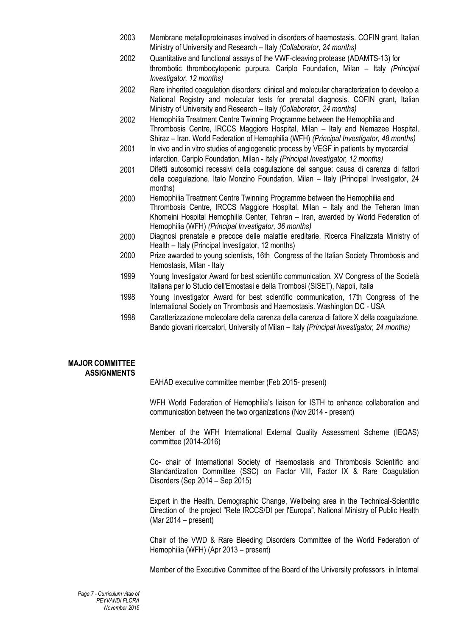- 2003 Membrane metalloproteinases involved in disorders of haemostasis. COFIN grant, Italian Ministry of University and Research – Italy *(Collaborator, 24 months)*
- 2002 Quantitative and functional assays of the VWF-cleaving protease (ADAMTS-13) for thrombotic thrombocytopenic purpura. Cariplo Foundation, Milan – Italy *(Principal Investigator, 12 months)*
- 2002 Rare inherited coagulation disorders: clinical and molecular characterization to develop a National Registry and molecular tests for prenatal diagnosis. COFIN grant, Italian Ministry of University and Research – Italy *(Collaborator, 24 months)*
- 2002 Hemophilia Treatment Centre Twinning Programme between the Hemophilia and Thrombosis Centre, IRCCS Maggiore Hospital, Milan – Italy and Nemazee Hospital, Shiraz – Iran. World Federation of Hemophilia (WFH) *(Principal Investigator, 48 months)*
- 2001 In vivo and in vitro studies of angiogenetic process by VEGF in patients by myocardial infarction. Cariplo Foundation, Milan - Italy *(Principal Investigator, 12 months)*
- 2001 Difetti autosomici recessivi della coagulazione del sangue: causa di carenza di fattori della coagulazione. Italo Monzino Foundation, Milan – Italy (Principal Investigator, 24 months)
- 2000 Hemophilia Treatment Centre Twinning Programme between the Hemophilia and Thrombosis Centre, IRCCS Maggiore Hospital, Milan – Italy and the Teheran Iman Khomeini Hospital Hemophilia Center, Tehran – Iran, awarded by World Federation of Hemophilia (WFH) *(Principal Investigator, 36 months)*
- 2000 Diagnosi prenatale e precoce delle malattie ereditarie. Ricerca Finalizzata Ministry of Health – Italy (Principal Investigator, 12 months)
- 2000 Prize awarded to young scientists, 16th Congress of the Italian Society Thrombosis and Hemostasis, Milan - Italy
- 1999 Young Investigator Award for best scientific communication, XV Congress of the Società Italiana per lo Studio dell'Emostasi e della Trombosi (SISET), Napoli, Italia
- 1998 Young Investigator Award for best scientific communication, 17th Congress of the International Society on Thrombosis and Haemostasis. Washington DC - USA
- 1998 Caratterizzazione molecolare della carenza della carenza di fattore X della coagulazione. Bando giovani ricercatori, University of Milan – Italy *(Principal Investigator, 24 months)*

#### **MAJOR COMMITTEE ASSIGNMENTS**

EAHAD executive committee member (Feb 2015- present)

WFH World Federation of Hemophilia's liaison for ISTH to enhance collaboration and communication between the two organizations (Nov 2014 - present)

Member of the WFH International External Quality Assessment Scheme (IEQAS) committee (2014-2016)

Co- chair of International Society of Haemostasis and Thrombosis Scientific and Standardization Committee (SSC) on Factor VIII, Factor IX & Rare Coagulation Disorders (Sep 2014 – Sep 2015)

Expert in the Health, Demographic Change, Wellbeing area in the Technical-Scientific Direction of the project "Rete IRCCS/DI per l'Europa", National Ministry of Public Health (Mar 2014 – present)

Chair of the VWD & Rare Bleeding Disorders Committee of the World Federation of Hemophilia (WFH) (Apr 2013 – present)

Member of the Executive Committee of the Board of the University professors in Internal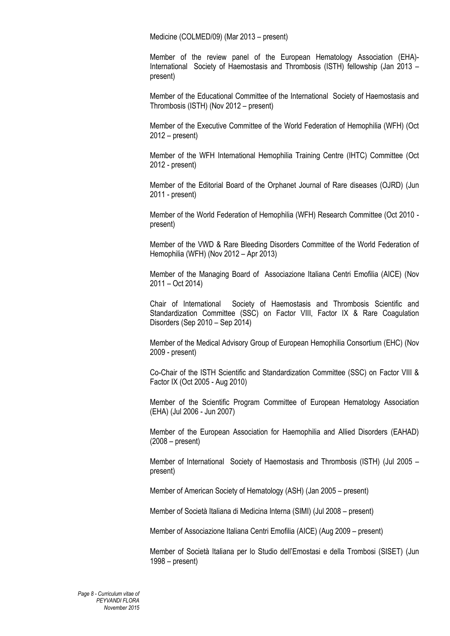Medicine (COLMED/09) (Mar 2013 – present)

Member of the review panel of the European Hematology Association (EHA)- International Society of Haemostasis and Thrombosis (ISTH) fellowship (Jan 2013 – present)

Member of the Educational Committee of the International Society of Haemostasis and Thrombosis (ISTH) (Nov 2012 – present)

Member of the Executive Committee of the World Federation of Hemophilia (WFH) (Oct 2012 – present)

Member of the WFH International Hemophilia Training Centre (IHTC) Committee (Oct 2012 - present)

Member of the Editorial Board of the Orphanet Journal of Rare diseases (OJRD) (Jun 2011 - present)

Member of the World Federation of Hemophilia (WFH) Research Committee (Oct 2010 present)

Member of the VWD & Rare Bleeding Disorders Committee of the World Federation of Hemophilia (WFH) (Nov 2012 – Apr 2013)

Member of the Managing Board of Associazione Italiana Centri Emofilia (AICE) (Nov 2011 – Oct 2014)

Chair of International Society of Haemostasis and Thrombosis Scientific and Standardization Committee (SSC) on Factor VIII, Factor IX & Rare Coagulation Disorders (Sep 2010 – Sep 2014)

Member of the Medical Advisory Group of European Hemophilia Consortium (EHC) (Nov 2009 - present)

Co-Chair of the ISTH Scientific and Standardization Committee (SSC) on Factor VIII & Factor IX (Oct 2005 - Aug 2010)

Member of the Scientific Program Committee of European Hematology Association (EHA) (Jul 2006 - Jun 2007)

Member of the European Association for Haemophilia and Allied Disorders (EAHAD) (2008 – present)

Member of International Society of Haemostasis and Thrombosis (ISTH) (Jul 2005 – present)

Member of American Society of Hematology (ASH) (Jan 2005 – present)

Member of Società Italiana di Medicina Interna (SIMI) (Jul 2008 – present)

Member of Associazione Italiana Centri Emofilia (AICE) (Aug 2009 – present)

Member of Società Italiana per lo Studio dell'Emostasi e della Trombosi (SISET) (Jun 1998 – present)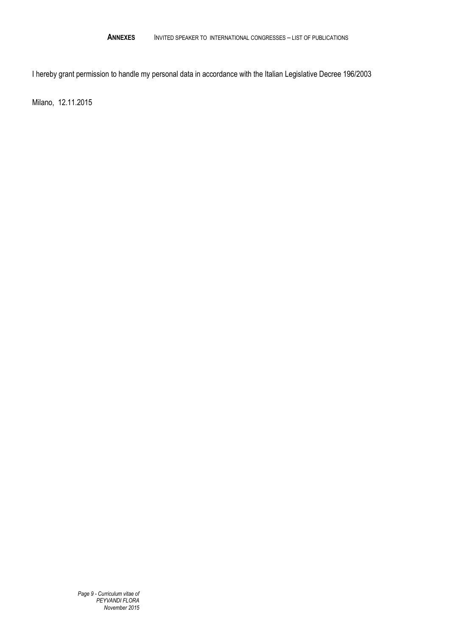I hereby grant permission to handle my personal data in accordance with the Italian Legislative Decree 196/2003

Milano, 12.11.2015

*Page 9 - Curriculum vitae of PEYVANDI FLORA November 2015*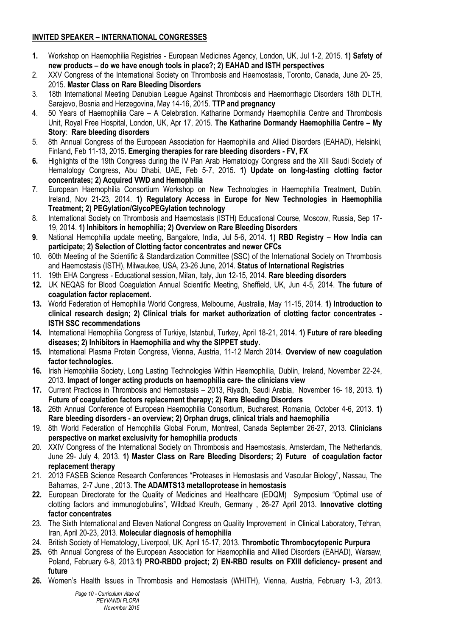## **INVITED SPEAKER – INTERNATIONAL CONGRESSES**

- **1.** Workshop on Haemophilia Registries European Medicines Agency, London, UK, Jul 1-2, 2015. **1) Safety of new products – do we have enough tools in place?; 2) EAHAD and ISTH perspectives**
- 2. XXV Congress of the International Society on Thrombosis and Haemostasis, Toronto, Canada, June 20- 25, 2015. **Master Class on Rare Bleeding Disorders**
- 3. 18th International Meeting Danubian League Against Thrombosis and Haemorrhagic Disorders 18th DLTH, Sarajevo, Bosnia and Herzegovina, May 14-16, 2015. **TTP and pregnancy**
- 4. 50 Years of Haemophilia Care A Celebration. Katharine Dormandy Haemophilia Centre and Thrombosis Unit, Royal Free Hospital, London, UK, Apr 17, 2015. **The Katharine Dormandy Haemophilia Centre – My Story**: **Rare bleeding disorders**
- 5. 8th Annual Congress of the European Association for Haemophilia and Allied Disorders (EAHAD), Helsinki, Finland, Feb 11-13, 2015. **Emerging therapies for rare bleeding disorders - FV, FX**
- **6.** Highlights of the 19th Congress during the IV Pan Arab Hematology Congress and the XIII Saudi Society of Hematology Congress, Abu Dhabi, UAE, Feb 5-7, 2015. **1) Update on long-lasting clotting factor concentrates; 2) Acquired VWD and Hemophilia**
- 7. European Haemophilia Consortium Workshop on New Technologies in Haemophilia Treatment, Dublin, Ireland, Nov 21-23, 2014. **1) Regulatory Access in Europe for New Technologies in Haemophilia Treatment; 2) PEGylation/GlycoPEGylation technology**
- 8. International Society on Thrombosis and Haemostasis (ISTH) Educational Course, Moscow, Russia, Sep 17-19, 2014. **1) Inhibitors in hemophilia; 2) Overview on Rare Bleeding Disorders**
- **9.** National Hemophilia update meeting, Bangalore, India, Jul 5-6, 2014. **1) RBD Registry – How India can participate; 2) Selection of Clotting factor concentrates and newer CFCs**
- 10. 60th Meeting of the Scientific & Standardization Committee (SSC) of the International Society on Thrombosis and Haemostasis (ISTH), Milwaukee, USA, 23-26 June, 2014. **Status of International Registries**
- 11. 19th EHA Congress Educational session, Milan, Italy, Jun 12-15, 2014. **Rare bleeding disorders**
- **12.** UK NEQAS for Blood Coagulation Annual Scientific Meeting, Sheffield, UK, Jun 4-5, 2014. **The future of coagulation factor replacement.**
- **13.** World Federation of Hemophilia World Congress, Melbourne, Australia, May 11-15, 2014. **1) Introduction to clinical research design; 2) Clinical trials for market authorization of clotting factor concentrates** ‐ **ISTH SSC recommendations**
- **14.** International Hemophilia Congress of Turkiye, Istanbul, Turkey, April 18-21, 2014. **1) Future of rare bleeding diseases; 2) Inhibitors in Haemophilia and why the SIPPET study.**
- **15.** International Plasma Protein Congress, Vienna, Austria, 11-12 March 2014. **Overview of new coagulation factor technologies.**
- **16.** Irish Hemophilia Society, Long Lasting Technologies Within Haemophilia, Dublin, Ireland, November 22-24, 2013. **Impact of longer acting products on haemophilia care- the clinicians view**
- **17.** Current Practices in Thrombosis and Hemostasis 2013, Riyadh, Saudi Arabia, November 16- 18, 2013. **1) Future of coagulation factors replacement therapy; 2) Rare Bleeding Disorders**
- **18.** 26th Annual Conference of European Haemophilia Consortium, Bucharest, Romania, October 4-6, 2013. **1) Rare bleeding disorders - an overview; 2) Orphan drugs, clinical trials and haemophilia**
- 19. 8th World Federation of Hemophilia Global Forum, Montreal, Canada September 26-27, 2013. **Clinicians perspective on market exclusivity for hemophilia products**
- 20. XXIV Congress of the International Society on Thrombosis and Haemostasis, Amsterdam, The Netherlands, June 29- July 4, 2013. **1) Master Class on Rare Bleeding Disorders; 2) Future of coagulation factor replacement therapy**
- 21. 2013 FASEB Science Research Conferences "Proteases in Hemostasis and Vascular Biology", Nassau, The Bahamas, 2-7 June , 2013. **The ADAMTS13 metalloprotease in hemostasis**
- **22.** European Directorate for the Quality of Medicines and Healthcare (EDQM) Symposium "Optimal use of clotting factors and immunoglobulins", Wildbad Kreuth, Germany , 26-27 April 2013. **Innovative clotting factor concentrates**
- 23. The Sixth International and Eleven National Congress on Quality Improvement in Clinical Laboratory, Tehran, Iran, April 20-23, 2013. **Molecular diagnosis of hemophilia**
- 24. British Society of Hematology, Liverpool, UK, April 15-17, 2013. **Thrombotic Thrombocytopenic Purpura**
- **25.** 6th Annual Congress of the European Association for Haemophilia and Allied Disorders (EAHAD), Warsaw, Poland, February 6-8, 2013.**1) PRO-RBDD project; 2) EN-RBD results on FXIII deficiency- present and future**
- **26.** Women's Health Issues in Thrombosis and Hemostasis (WHITH), Vienna, Austria, February 1-3, 2013.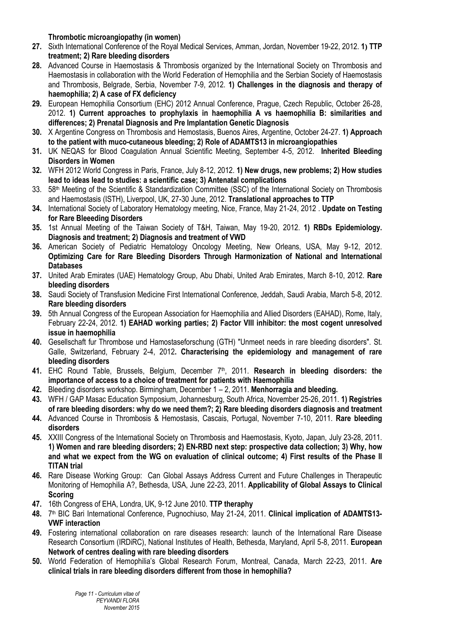**Thrombotic microangiopathy (in women)**

- **27.** Sixth International Conference of the Royal Medical Services, Amman, Jordan, November 19-22, 2012. **1) TTP treatment; 2) Rare bleeding disorders**
- **28.** Advanced Course in Haemostasis & Thrombosis organized by the International Society on Thrombosis and Haemostasis in collaboration with the World Federation of Hemophilia and the Serbian Society of Haemostasis and Thrombosis, Belgrade, Serbia, November 7-9, 2012. **1) Challenges in the diagnosis and therapy of haemophilia; 2) A case of FX deficiency**
- **29.** European Hemophilia Consortium (EHC) 2012 Annual Conference, Prague, Czech Republic, October 26-28, 2012. **1) Current approaches to prophylaxis in haemophilia A vs haemophilia B: similarities and differences; 2) Prenatal Diagnosis and Pre Implantation Genetic Diagnosis**
- **30.** X Argentine Congress on Thrombosis and Hemostasis, Buenos Aires, Argentine, October 24-27. **1) Approach to the patient with muco-cutaneous bleeding; 2) Role of ADAMTS13 in microangiopathies**
- **31.** UK NEQAS for Blood Coagulation Annual Scientific Meeting, September 4-5, 2012. **Inherited Bleeding Disorders in Women**
- **32.** WFH 2012 World Congress in Paris, France, July 8-12, 2012. **1) New drugs, new problems; 2) How studies lead to ideas lead to studies: a scientific case; 3) Antenatal complications**
- 33. 58<sup>th</sup> Meeting of the Scientific & Standardization Committee (SSC) of the International Society on Thrombosis and Haemostasis (ISTH), Liverpool, UK, 27-30 June, 2012. **Translational approaches to TTP**
- **34.** International Society of Laboratory Hematology meeting, Nice, France, May 21-24, 2012 . **Update on Testing for Rare Bleeeding Disorders**
- **35.** 1st Annual Meeting of the Taiwan Society of T&H, Taiwan, May 19-20, 2012. **1) RBDs Epidemiology. Diagnosis and treatment; 2) Diagnosis and treatment of VWD**
- **36.** American Society of Pediatric Hematology Oncology Meeting, New Orleans, USA, May 9-12, 2012. **Optimizing Care for Rare Bleeding Disorders Through Harmonization of National and International Databases**
- **37.** United Arab Emirates (UAE) Hematology Group, Abu Dhabi, United Arab Emirates, March 8-10, 2012. **Rare bleeding disorders**
- **38.** Saudi Society of Transfusion Medicine First International Conference, Jeddah, Saudi Arabia, March 5-8, 2012. **Rare bleeding disorders**
- **39.** 5th Annual Congress of the European Association for Haemophilia and Allied Disorders (EAHAD), Rome, Italy, February 22-24, 2012. **1) EAHAD working parties; 2) Factor VIII inhibitor: the most cogent unresolved issue in haemophilia**
- **40.** Gesellschaft fur Thrombose und Hamostaseforschung (GTH) "Unmeet needs in rare bleeding disorders". St. Galle, Switzerland, February 2-4, 2012**. Characterising the epidemiology and management of rare bleeding disorders**
- **41.** EHC Round Table, Brussels, Belgium, December 7<sup>th</sup>, 2011. **Research in bleeding disorders: the importance of access to a choice of treatment for patients with Haemophilia**
- **42.** Bleeding disorders workshop. Birmingham, December 1 2, 2011. **Menhorragia and bleeding.**
- **43.** WFH / GAP Masac Education Symposium, Johannesburg, South Africa, November 25-26, 2011. **1) Registries of rare bleeding disorders: why do we need them?; 2) Rare bleeding disorders diagnosis and treatment**
- **44.** Advanced Course in Thrombosis & Hemostasis, Cascais, Portugal, November 7-10, 2011. **Rare bleeding disorders**
- **45.** XXIII Congress of the International Society on Thrombosis and Haemostasis, Kyoto, Japan, July 23-28, 2011. **1) Women and rare bleeding disorders; 2) EN-RBD next step: prospective data collection; 3) Why, how and what we expect from the WG on evaluation of clinical outcome; 4) First results of the Phase II TITAN trial**
- **46.** Rare Disease Working Group: Can Global Assays Address Current and Future Challenges in Therapeutic Monitoring of Hemophilia A?, Bethesda, USA, June 22-23, 2011. **Applicability of Global Assays to Clinical Scoring**
- **47.** 16th Congress of EHA, Londra, UK, 9-12 June 2010. **TTP theraphy**
- 48. 7<sup>th</sup> BIC Bari International Conference, Pugnochiuso, May 21-24, 2011. **Clinical implication of ADAMTS13-VWF interaction**
- **49.** Fostering international collaboration on rare diseases research: launch of the International Rare Disease Research Consortium (IRDiRC), National Institutes of Health, Bethesda, Maryland, April 5-8, 2011. **European Network of centres dealing with rare bleeding disorders**
- **50.** World Federation of Hemophilia's Global Research Forum, Montreal, Canada, March 22-23, 2011. **Are clinical trials in rare bleeding disorders different from those in hemophilia?**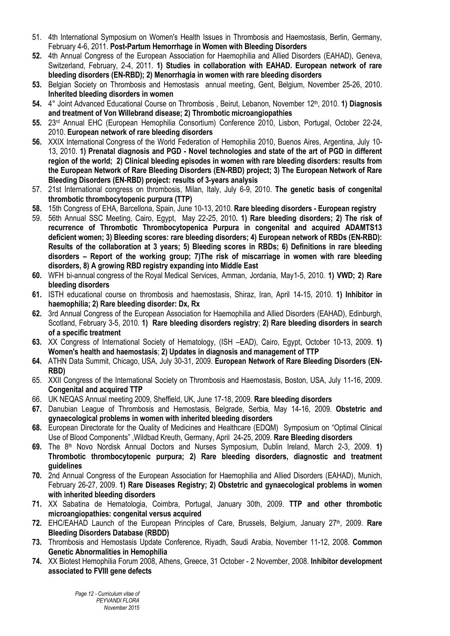- 51. 4th International Symposium on Women's Health Issues in Thrombosis and Haemostasis, Berlin, Germany, February 4-6, 2011. **Post-Partum Hemorrhage in Women with Bleeding Disorders**
- **52.** 4th Annual Congress of the European Association for Haemophilia and Allied Disorders (EAHAD), Geneva, Switzerland, February, 2-4, 2011. **1) Studies in collaboration with EAHAD. European network of rare bleeding disorders (EN-RBD); 2) Menorrhagia in women with rare bleeding disorders**
- **53.** Belgian Society on Thrombosis and Hemostasis annual meeting, Gent, Belgium, November 25-26, 2010. **Inherited bleeding disorders in women**
- 54. 4° Joint Advanced Educational Course on Thrombosis, Beirut, Lebanon, November 12<sup>th</sup>, 2010. 1) Diagnosis **and treatment of Von Willebrand disease; 2) Thrombotic microangiopathies**
- **55.** 23rd Annual EHC (European Hemophilia Consortium) Conference 2010, Lisbon, Portugal, October 22-24, 2010. **European network of rare bleeding disorders**
- **56.** XXIX International Congress of the World Federation of Hemophilia 2010, Buenos Aires, Argentina, July 10- 13, 2010. **1) Prenatal diagnosis and PGD - Novel technologies and state of the art of PGD in different region of the world; 2) Clinical bleeding episodes in women with rare bleeding disorders: results from the European Network of Rare Bleeding Disorders (EN-RBD) project; 3) The European Network of Rare Bleeding Disorders (EN-RBD) project: results of 3-years analysis**
- 57. 21st International congress on thrombosis, Milan, Italy, July 6-9, 2010. **The genetic basis of congenital thrombotic thrombocytopenic purpura (TTP)**
- **58.** 15th Congress of EHA, Barcellona, Spain, June 10-13, 2010. **Rare bleeding disorders - European registry**
- 59. 56th Annual SSC Meeting, Cairo, Egypt, May 22-25, 2010**. 1) Rare bleeding disorders; 2) The risk of recurrence of Thrombotic Thrombocytopenica Purpura in congenital and acquired ADAMTS13 deficient women; 3) Bleeding scores: rare bleeding disorders; 4) European network of RBDs (EN-RBD): Results of the collaboration at 3 years; 5) Bleeding scores in RBDs; 6) Definitions in rare bleeding disorders – Report of the working group; 7)The risk of miscarriage in women with rare bleeding disorders, 8) A growing RBD registry expanding into Middle East**
- **60.** WFH bi-annual congress of the Royal Medical Services, Amman, Jordania, May1-5, 2010. **1) VWD; 2) Rare bleeding disorders**
- **61.** ISTH educational course on thrombosis and haemostasis, Shiraz, Iran, April 14-15, 2010. **1) Inhibitor in haemophilia; 2) Rare bleeding disorder: Dx, Rx**
- **62.** 3rd Annual Congress of the European Association for Haemophilia and Allied Disorders (EAHAD), Edinburgh, Scotland, February 3-5, 2010. **1) Rare bleeding disorders registry**; **2) Rare bleeding disorders in search of a specific treatment**
- **63.** XX Congress of International Society of Hematology, (ISH –EAD), Cairo, Egypt, October 10-13, 2009. **1) Women's health and haemostasis**; **2) Updates in diagnosis and management of TTP**
- **64.** ATHN Data Summit, Chicago, USA, July 30-31, 2009. **European Network of Rare Bleeding Disorders (EN-RBD)**
- 65. XXII Congress of the International Society on Thrombosis and Haemostasis, Boston, USA, July 11-16, 2009. **Congenital and acquired TTP**
- 66. UK NEQAS Annual meeting 2009, Sheffield, UK, June 17-18, 2009. **Rare bleeding disorders**
- **67.** Danubian League of Thrombosis and Hemostasis, Belgrade, Serbia, May 14-16, 2009. **Obstetric and gynaecological problems in women with inherited bleeding disorders**
- **68.** European Directorate for the Quality of Medicines and Healthcare (EDQM) Symposium on "Optimal Clinical Use of Blood Components" ,Wildbad Kreuth, Germany, April 24-25, 2009. **Rare Bleeding disorders**
- **69.** The 8th Novo Nordisk Annual Doctors and Nurses Symposium, Dublin Ireland, March 2-3, 2009. **1) Thrombotic thrombocytopenic purpura; 2) Rare bleeding disorders, diagnostic and treatment guidelines**
- **70.** 2nd Annual Congress of the European Association for Haemophilia and Allied Disorders (EAHAD), Munich, February 26-27, 2009. **1) Rare Diseases Registry; 2) Obstetric and gynaecological problems in women with inherited bleeding disorders**
- **71.** XX Sabatina de Hematologia, Coimbra, Portugal, January 30th, 2009. **TTP and other thrombotic microangiopathies: congenital versus acquired**
- 72. EHC/EAHAD Launch of the European Principles of Care, Brussels, Belgium, January 27<sup>th</sup>, 2009. **Rare Bleeding Disorders Database (RBDD)**
- **73.** Thrombosis and Hemostasis Update Conference, Riyadh, Saudi Arabia, November 11-12, 2008. **Common Genetic Abnormalities in Hemophilia**
- **74.** XX Biotest Hemophilia Forum 2008, Athens, Greece, 31 October 2 November, 2008. **Inhibitor development associated to FVIII gene defects**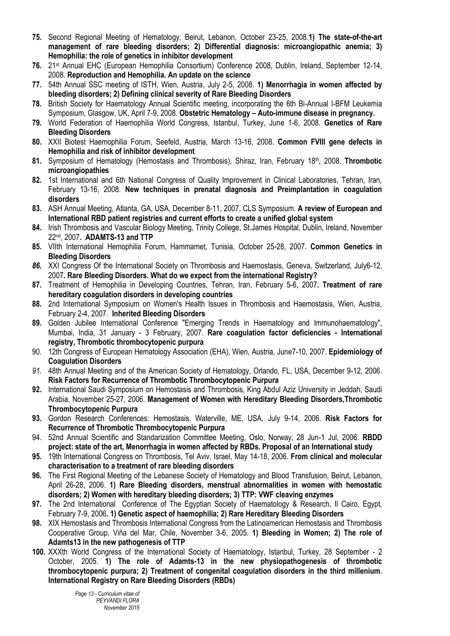- **75.** Second Regional Meeting of Hematology, Beirut, Lebanon, October 23-25, 2008.**1) The state-of-the-art management of rare bleeding disorders; 2) Differential diagnosis: microangiopathic anemia; 3) Hemophilia: the role of genetics in inhibitor development**
- **76.** 21st Annual EHC (European Hemophilia Consortium) Conference 2008, Dublin, Ireland, September 12-14, 2008. **Reproduction and Hemophilia. An update on the science**
- **77.** 54th Annual SSC meeting of ISTH, Wien, Austria, July 2-5, 2008. **1) Menorrhagia in women affected by bleeding disorders; 2) Defining clinical severity of Rare Bleeding Disorders**
- **78.** British Society for Haematology Annual Scientific meeting, incorporating the 6th Bi-Annual I-BFM Leukemia Symposium, Glasgow, UK, April 7-9, 2008. **Obstetric Hematology – Auto-immune disease in pregnancy.**
- **79.** World Federation of Haemophilia World Congress, Istanbul, Turkey, June 1-6, 2008. **Genetics of Rare Bleeding Disorders**
- **80.** XXII Biotest Haemophilia Forum, Seefeld, Austria, March 13-16, 2008. **Common FVIII gene defects in Hemophilia and risk of inhibitor development**
- 81. Symposium of Hematology (Hemostasis and Thrombosis), Shiraz, Iran, February 18<sup>th</sup>, 2008. Thrombotic **microangiopathies**
- **82.** 1st International and 6th National Congress of Quality Improvement in Clinical Laboratories, Tehran, Iran, February 13-16, 2008. **New techniques in prenatal diagnosis and Preimplantation in coagulation disorders**
- **83.** ASH Annual Meeting, Atlanta, GA, USA, December 8-11, 2007. CLS Symposium. **A review of European and International RBD patient registries and current efforts to create a unified global system**
- **84.** Irish Thrombosis and Vascular Biology Meeting, Trinity College, St.James Hospital, Dublin, Ireland, November 22nd , 2007**. ADAMTS-13 and TTP**
- **85.** VIIth International Hemophilia Forum, Hammamet, Tunisia, October 25-28, 2007. **Common Genetics in Bleeding Disorders**
- *86.* XXI Congress Of the International Society on Thrombosis and Haemostasis, Geneva, Switzerland, July6-12, 2007**. Rare Bleeding Disorders. What do we expect from the international Registry?**
- **87.** Treatment of Hemophilia in Developing Countries, Tehran, Iran, February 5-6, 2007**. Treatment of rare hereditary coagulation disorders in developing countries**
- **88.** 2nd International Symposium on Women's Health Issues in Thrombosis and Haemostasis, Wien, Austria, February 2-4, 2007. **Inherited Bleeding Disorders**
- **89.** Golden Jubilee International Conference "Emerging Trends in Haematology and Immunohaematology", Mumbai, India, 31 January - 3 February, 2007. **Rare coagulation factor deficiencies - International registry, Thrombotic thrombocytopenic purpura**
- 90. 12th Congress of European Hematology Association (EHA), Wien, Austria, June7-10, 2007. **Epidemiology of Coagulation Disorders**
- *91.* 48th Annual Meeting and of the American Society of Hematology, Orlando, FL, USA, December 9-12, 2006. **Risk Factors for Recurrence of Thrombotic Thrombocytopenic Purpura**
- **92.** International Saudi Symposium on Hemostasis and Thrombosis, King Abdul Aziz University in Jeddah, Saudi Arabia, November 25-27, 2006. **Management of Women with Hereditary Bleeding Disorders,Thrombotic Thrombocytopenic Purpura**
- **93.** Gordon Research Conferences: Hemostasis, Waterville, ME, USA, July 9-14, 2006. **Risk Factors for Recurrence of Thrombotic Thrombocytopenic Purpura**
- 94. 52nd Annual Scientific and Standarization Committee Meeting, Oslo, Norway, 28 Jun-1 Jul, 2006. **RBDD project: state of the art, Menorrhagia in women affected by RBDs. Proposal of an International study**
- **95.** 19th International Congress on Thrombosis, Tel Aviv, Israel, May 14-18, 2006. **From clinical and molecular characterisation to a treatment of rare bleeding disorders**
- **96.** The First Regional Meeting of the Lebanese Society of Hematology and Blood Transfusion, Beirut, Lebanon, April 26-28, 2006. **1) Rare Bleeding disorders, menstrual abnormalities in women with hemostatic disorders; 2) Women with hereditary bleeding disorders; 3) TTP: VWF cleaving enzymes**
- **97.** The 2nd International Conference of The Egyptian Society of Haematology & Research, Il Cairo, Egypt, February 7-9, 2006**. 1) Genetic aspect of haemophilia; 2) Rare Hereditary Bleeding Disorders**
- **98.** XIX Hemostasis and Thrombosis International Congress from the Latinoamerican Hemostasis and Thrombosis Cooperative Group, Viña del Mar, Chile, November 3-6, 2005. **1) Bleeding in Women; 2) The role of Adamts13 in the new pathogenesis of TTP**
- **100.** XXXth World Congress of the International Society of Haematology, Istanbul, Turkey, 28 September 2 October, 2005. **1) The role of Adamts-13 in the new physiopathogenesis of thrombotic thrombocytopenic purpura; 2) Treatment of congenital coagulation disorders in the third millenium**. **International Registry on Rare Bleeding Disorders (RBDs)**

*Page 13 - Curriculum vitae of PEYVANDI FLORA November 2015*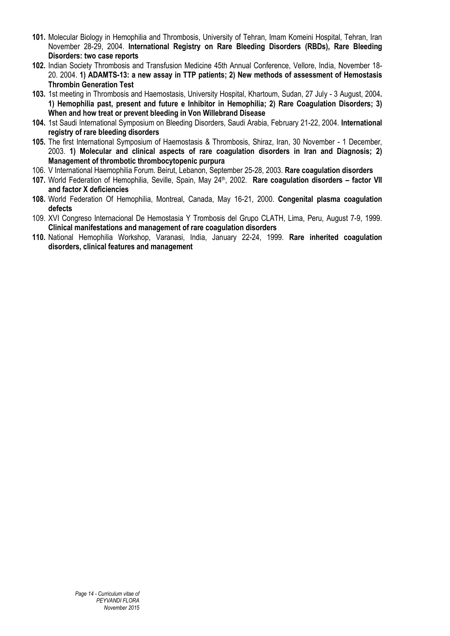- **101.** Molecular Biology in Hemophilia and Thrombosis, University of Tehran, Imam Komeini Hospital, Tehran, Iran November 28-29, 2004. **International Registry on Rare Bleeding Disorders (RBDs), Rare Bleeding Disorders: two case reports**
- **102.** Indian Society Thrombosis and Transfusion Medicine 45th Annual Conference, Vellore, India, November 18- 20. 2004. **1) ADAMTS-13: a new assay in TTP patients; 2) New methods of assessment of Hemostasis Thrombin Generation Test**
- **103.** 1st meeting in Thrombosis and Haemostasis, University Hospital, Khartoum, Sudan, 27 July 3 August, 2004**. 1) Hemophilia past, present and future e Inhibitor in Hemophilia; 2) Rare Coagulation Disorders; 3) When and how treat or prevent bleeding in Von Willebrand Disease**
- **104.** 1st Saudi International Symposium on Bleeding Disorders, Saudi Arabia, February 21-22, 2004. **International registry of rare bleeding disorders**
- **105.** The first International Symposium of Haemostasis & Thrombosis, Shiraz, Iran, 30 November 1 December, 2003. **1) Molecular and clinical aspects of rare coagulation disorders in Iran and Diagnosis; 2) Management of thrombotic thrombocytopenic purpura**
- 106. V International Haemophilia Forum. Beirut, Lebanon, September 25-28, 2003. **Rare coagulation disorders**
- 107. World Federation of Hemophilia, Seville, Spain, May 24<sup>th</sup>, 2002. Rare coagulation disorders factor VII **and factor X deficiencies**
- **108.** World Federation Of Hemophilia, Montreal, Canada, May 16-21, 2000. **Congenital plasma coagulation defects**
- 109. XVI Congreso Internacional De Hemostasia Y Trombosis del Grupo CLATH, Lima, Peru, August 7-9, 1999. **Clinical manifestations and management of rare coagulation disorders**
- **110.** National Hemophilia Workshop, Varanasi, India, January 22-24, 1999. **Rare inherited coagulation disorders, clinical features and management**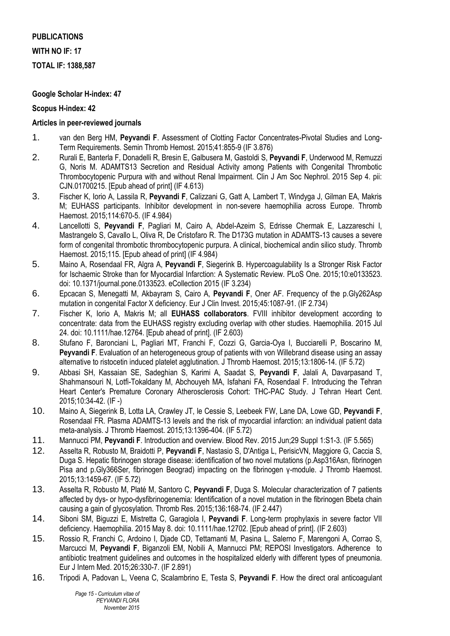## **PUBLICATIONS**

### **WITH NO IF: 17**

**TOTAL IF: 1388,587**

## **Google Scholar H-index: 47**

## **Scopus H-index: 42**

## **Articles in peer-reviewed journals**

- 1. van den Berg HM, **Peyvandi F**. Assessment of Clotting Factor Concentrates-Pivotal Studies and Long-Term Requirements. Semin Thromb Hemost. 2015;41:855-9 (IF 3.876)
- 2. Rurali E, Banterla F, Donadelli R, Bresin E, Galbusera M, Gastoldi S, **Peyvandi F**, Underwood M, Remuzzi G, Noris M. ADAMTS13 Secretion and Residual Activity among Patients with Congenital Thrombotic Thrombocytopenic Purpura with and without Renal Impairment. Clin J Am Soc Nephrol. 2015 Sep 4. pii: CJN.01700215. [Epub ahead of print] (IF 4.613)
- 3. Fischer K, Iorio A, Lassila R, **Peyvandi F**, Calizzani G, Gatt A, Lambert T, Windyga J, Gilman EA, Makris M; EUHASS participants. Inhibitor development in non-severe haemophilia across Europe. Thromb Haemost. 2015;114:670-5. (IF 4.984)
- 4. Lancellotti S, **Peyvandi F**, Pagliari M, Cairo A, Abdel-Azeim S, Edrisse Chermak E, Lazzareschi I, Mastrangelo S, Cavallo L, Oliva R, De Cristofaro R. The D173G mutation in ADAMTS-13 causes a severe form of congenital thrombotic thrombocytopenic purpura. A clinical, biochemical andin silico study. Thromb Haemost. 2015;115. [Epub ahead of print] (IF 4.984)
- 5. Maino A, Rosendaal FR, Algra A, **Peyvandi F**, Siegerink B. Hypercoagulability Is a Stronger Risk Factor for Ischaemic Stroke than for Myocardial Infarction: A Systematic Review. PLoS One. 2015;10:e0133523. doi: 10.1371/journal.pone.0133523. eCollection 2015 (IF 3.234)
- 6. Epcacan S, Menegatti M, Akbayram S, Cairo A, **Peyvandi F**, Oner AF. Frequency of the p.Gly262Asp mutation in congenital Factor X deficiency. Eur J Clin Invest. 2015;45:1087-91. (IF 2.734)
- 7. Fischer K, Iorio A, Makris M; all **EUHASS collaborators**. FVIII inhibitor development according to concentrate: data from the EUHASS registry excluding overlap with other studies. Haemophilia. 2015 Jul 24. doi: 10.1111/hae.12764. [Epub ahead of print]. (IF 2.603)
- 8. Stufano F, Baronciani L, Pagliari MT, Franchi F, Cozzi G, Garcia-Oya I, Bucciarelli P, Boscarino M, **Peyvandi F**. Evaluation of an heterogeneous group of patients with von Willebrand disease using an assay alternative to ristocetin induced platelet agglutination. J Thromb Haemost. 2015;13:1806-14. (IF 5.72)
- 9. Abbasi SH, Kassaian SE, Sadeghian S, Karimi A, Saadat S, **Peyvandi F**, Jalali A, Davarpasand T, Shahmansouri N, Lotfi-Tokaldany M, Abchouyeh MA, Isfahani FA, Rosendaal F. Introducing the Tehran Heart Center's Premature Coronary Atherosclerosis Cohort: THC-PAC Study. J Tehran Heart Cent. 2015;10:34-42. (IF -)
- 10. Maino A, Siegerink B, Lotta LA, Crawley JT, le Cessie S, Leebeek FW, Lane DA, Lowe GD, **Peyvandi F**, Rosendaal FR. Plasma ADAMTS-13 levels and the risk of myocardial infarction: an individual patient data meta-analysis. J Thromb Haemost. 2015;13:1396-404. (IF 5.72)
- 11. Mannucci PM, **Peyvandi F**. Introduction and overview. Blood Rev. 2015 Jun;29 Suppl 1:S1-3. (IF 5.565)
- 12. Asselta R, Robusto M, Braidotti P, **Peyvandi F**, Nastasio S, D'Antiga L, PerisicVN, Maggiore G, Caccia S, Duga S. Hepatic fibrinogen storage disease: identification of two novel mutations (p.Asp316Asn, fibrinogen Pisa and p.Gly366Ser, fibrinogen Beograd) impacting on the fibrinogen γ-module. J Thromb Haemost. 2015;13:1459-67. (IF 5.72)
- 13. Asselta R, Robusto M, Platé M, Santoro C, **Peyvandi F**, Duga S. Molecular characterization of 7 patients affected by dys- or hypo-dysfibrinogenemia: Identification of a novel mutation in the fibrinogen Bbeta chain causing a gain of glycosylation. Thromb Res. 2015;136:168-74. (IF 2.447)
- 14. Siboni SM, Biguzzi E, Mistretta C, Garagiola I, **Peyvandi F**. Long-term prophylaxis in severe factor VII deficiency. Haemophilia. 2015 May 8. doi: 10.1111/hae.12702. [Epub ahead of print]. (IF 2.603)
- 15. Rossio R, Franchi C, Ardoino I, Djade CD, Tettamanti M, Pasina L, Salerno F, Marengoni A, Corrao S, Marcucci M, **Peyvandi F**, Biganzoli EM, Nobili A, Mannucci PM; REPOSI Investigators. Adherence to antibiotic treatment guidelines and outcomes in the hospitalized elderly with different types of pneumonia. Eur J Intern Med. 2015;26:330-7. (IF 2.891)
- 16. Tripodi A, Padovan L, Veena C, Scalambrino E, Testa S, **Peyvandi F**. How the direct oral anticoagulant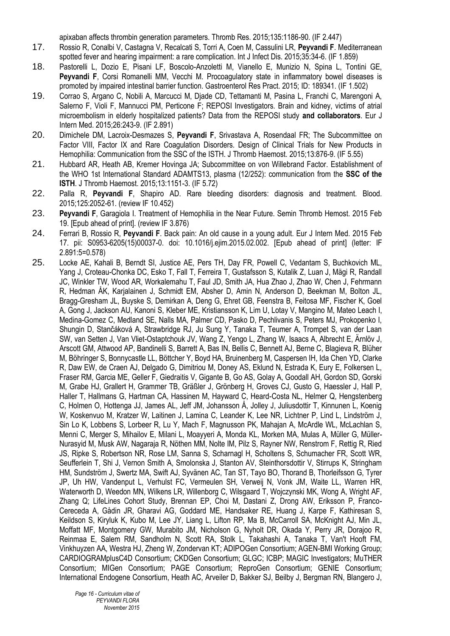apixaban affects thrombin generation parameters. Thromb Res. 2015;135:1186-90. (IF 2.447)

- 17. Rossio R, Conalbi V, Castagna V, Recalcati S, Torri A, Coen M, Cassulini LR, **Peyvandi F**. Mediterranean spotted fever and hearing impairment: a rare complication. Int J Infect Dis. 2015;35:34-6. (IF 1.859)
- 18. Pastorelli L, Dozio E, Pisani LF, Boscolo-Anzoletti M, Vianello E, Munizio N, Spina L, Tontini GE, **Peyvandi F**, Corsi Romanelli MM, Vecchi M. Procoagulatory state in inflammatory bowel diseases is promoted by impaired intestinal barrier function. Gastroenterol Res Pract. 2015; ID: 189341. (IF 1.502)
- 19. Corrao S, Argano C, Nobili A, Marcucci M, Djade CD, Tettamanti M, Pasina L, Franchi C, Marengoni A, Salerno F, Violi F, Mannucci PM, Perticone F; REPOSI Investigators. Brain and kidney, victims of atrial microembolism in elderly hospitalized patients? Data from the REPOSI study **and collaborators**. Eur J Intern Med. 2015;26:243-9. (IF 2.891)
- 20. Dimichele DM, Lacroix-Desmazes S, **Peyvandi F**, Srivastava A, Rosendaal FR; The Subcommittee on Factor VIII, Factor IX and Rare Coagulation Disorders. Design of Clinical Trials for New Products in Hemophilia: Communication from the SSC of the ISTH. J Thromb Haemost. 2015;13:876-9. (IF 5.55)
- 21. Hubbard AR, Heath AB, Kremer Hovinga JA; Subcommittee on von Willebrand Factor. Establishment of the WHO 1st International Standard ADAMTS13, plasma (12/252): communication from the **SSC of the ISTH**. J Thromb Haemost. 2015;13:1151-3. (IF 5.72)
- 22. Palla R, **Peyvandi F**, Shapiro AD. Rare bleeding disorders: diagnosis and treatment. Blood. 2015;125:2052-61. (review IF 10.452)
- 23. **Peyvandi F**, Garagiola I. Treatment of Hemophilia in the Near Future. Semin Thromb Hemost. 2015 Feb 19. [Epub ahead of print]. (review IF 3.876)
- 24. Ferrari B, Rossio R, **Peyvandi F**. Back pain: An old cause in a young adult. Eur J Intern Med. 2015 Feb 17. pii: S0953-6205(15)00037-0. doi: 10.1016/j.ejim.2015.02.002. [Epub ahead of print] (letter: IF 2.891:5=0.578)
- 25. Locke AE, Kahali B, Berndt SI, Justice AE, Pers TH, Day FR, Powell C, Vedantam S, Buchkovich ML, Yang J, Croteau-Chonka DC, Esko T, Fall T, Ferreira T, Gustafsson S, Kutalik Z, Luan J, Mägi R, Randall JC, Winkler TW, Wood AR, Workalemahu T, Faul JD, Smith JA, Hua Zhao J, Zhao W, Chen J, Fehrmann R, Hedman ÅK, Karjalainen J, Schmidt EM, Absher D, Amin N, Anderson D, Beekman M, Bolton JL, Bragg-Gresham JL, Buyske S, Demirkan A, Deng G, Ehret GB, Feenstra B, Feitosa MF, Fischer K, Goel A, Gong J, Jackson AU, Kanoni S, Kleber ME, Kristiansson K, Lim U, Lotay V, Mangino M, Mateo Leach I, Medina-Gomez C, Medland SE, Nalls MA, Palmer CD, Pasko D, Pechlivanis S, Peters MJ, Prokopenko I, Shungin D, Stančáková A, Strawbridge RJ, Ju Sung Y, Tanaka T, Teumer A, Trompet S, van der Laan SW, van Setten J, Van Vliet-Ostaptchouk JV, Wang Z, Yengo L, Zhang W, Isaacs A, Albrecht E, Ärnlöv J, Arscott GM, Attwood AP, Bandinelli S, Barrett A, Bas IN, Bellis C, Bennett AJ, Berne C, Blagieva R, Blüher M, Böhringer S, Bonnycastle LL, Böttcher Y, Boyd HA, Bruinenberg M, Caspersen IH, Ida Chen YD, Clarke R, Daw EW, de Craen AJ, Delgado G, Dimitriou M, Doney AS, Eklund N, Estrada K, Eury E, Folkersen L, Fraser RM, Garcia ME, Geller F, Giedraitis V, Gigante B, Go AS, Golay A, Goodall AH, Gordon SD, Gorski M, Grabe HJ, Grallert H, Grammer TB, Gräßler J, Grönberg H, Groves CJ, Gusto G, Haessler J, Hall P, Haller T, Hallmans G, Hartman CA, Hassinen M, Hayward C, Heard-Costa NL, Helmer Q, Hengstenberg C, Holmen O, Hottenga JJ, James AL, Jeff JM, Johansson Å, Jolley J, Juliusdottir T, Kinnunen L, Koenig W, Koskenvuo M, Kratzer W, Laitinen J, Lamina C, Leander K, Lee NR, Lichtner P, Lind L, Lindström J, Sin Lo K, Lobbens S, Lorbeer R, Lu Y, Mach F, Magnusson PK, Mahajan A, McArdle WL, McLachlan S, Menni C, Merger S, Mihailov E, Milani L, Moayyeri A, Monda KL, Morken MA, Mulas A, Müller G, Müller-Nurasyid M, Musk AW, Nagaraja R, Nöthen MM, Nolte IM, Pilz S, Rayner NW, Renstrom F, Rettig R, Ried JS, Ripke S, Robertson NR, Rose LM, Sanna S, Scharnagl H, Scholtens S, Schumacher FR, Scott WR, Seufferlein T, Shi J, Vernon Smith A, Smolonska J, Stanton AV, Steinthorsdottir V, Stirrups K, Stringham HM, Sundström J, Swertz MA, Swift AJ, Syvänen AC, Tan ST, Tayo BO, Thorand B, Thorleifsson G, Tyrer JP, Uh HW, Vandenput L, Verhulst FC, Vermeulen SH, Verweij N, Vonk JM, Waite LL, Warren HR, Waterworth D, Weedon MN, Wilkens LR, Willenborg C, Wilsgaard T, Wojczynski MK, Wong A, Wright AF, Zhang Q; LifeLines Cohort Study, Brennan EP, Choi M, Dastani Z, Drong AW, Eriksson P, Franco-Cereceda A, Gådin JR, Gharavi AG, Goddard ME, Handsaker RE, Huang J, Karpe F, Kathiresan S, Keildson S, Kiryluk K, Kubo M, Lee JY, Liang L, Lifton RP, Ma B, McCarroll SA, McKnight AJ, Min JL, Moffatt MF, Montgomery GW, Murabito JM, Nicholson G, Nyholt DR, Okada Y, Perry JR, Dorajoo R, Reinmaa E, Salem RM, Sandholm N, Scott RA, Stolk L, Takahashi A, Tanaka T, Van't Hooft FM, Vinkhuyzen AA, Westra HJ, Zheng W, Zondervan KT; ADIPOGen Consortium; AGEN-BMI Working Group; CARDIOGRAMplusC4D Consortium; CKDGen Consortium; GLGC; ICBP; MAGIC Investigators; MuTHER Consortium; MIGen Consortium; PAGE Consortium; ReproGen Consortium; GENIE Consortium; International Endogene Consortium, Heath AC, Arveiler D, Bakker SJ, Beilby J, Bergman RN, Blangero J,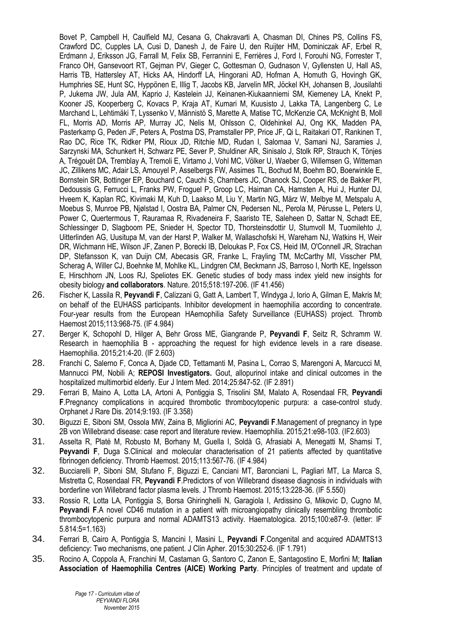Bovet P, Campbell H, Caulfield MJ, Cesana G, Chakravarti A, Chasman DI, Chines PS, Collins FS, Crawford DC, Cupples LA, Cusi D, Danesh J, de Faire U, den Ruijter HM, Dominiczak AF, Erbel R, Erdmann J, Eriksson JG, Farrall M, Felix SB, Ferrannini E, Ferrières J, Ford I, Forouhi NG, Forrester T, Franco OH, Gansevoort RT, Gejman PV, Gieger C, Gottesman O, Gudnason V, Gyllensten U, Hall AS, Harris TB, Hattersley AT, Hicks AA, Hindorff LA, Hingorani AD, Hofman A, Homuth G, Hovingh GK, Humphries SE, Hunt SC, Hyppönen E, Illig T, Jacobs KB, Jarvelin MR, Jöckel KH, Johansen B, Jousilahti P, Jukema JW, Jula AM, Kaprio J, Kastelein JJ, Keinanen-Kiukaanniemi SM, Kiemeney LA, Knekt P, Kooner JS, Kooperberg C, Kovacs P, Kraja AT, Kumari M, Kuusisto J, Lakka TA, Langenberg C, Le Marchand L, Lehtimäki T, Lyssenko V, Männistö S, Marette A, Matise TC, McKenzie CA, McKnight B, Moll FL, Morris AD, Morris AP, Murray JC, Nelis M, Ohlsson C, Oldehinkel AJ, Ong KK, Madden PA, Pasterkamp G, Peden JF, Peters A, Postma DS, Pramstaller PP, Price JF, Qi L, Raitakari OT, Rankinen T, Rao DC, Rice TK, Ridker PM, Rioux JD, Ritchie MD, Rudan I, Salomaa V, Samani NJ, Saramies J, Sarzynski MA, Schunkert H, Schwarz PE, Sever P, Shuldiner AR, Sinisalo J, Stolk RP, Strauch K, Tönjes A, Trégouët DA, Tremblay A, Tremoli E, Virtamo J, Vohl MC, Völker U, Waeber G, Willemsen G, Witteman JC, Zillikens MC, Adair LS, Amouyel P, Asselbergs FW, Assimes TL, Bochud M, Boehm BO, Boerwinkle E, Bornstein SR, Bottinger EP, Bouchard C, Cauchi S, Chambers JC, Chanock SJ, Cooper RS, de Bakker PI, Dedoussis G, Ferrucci L, Franks PW, Froguel P, Groop LC, Haiman CA, Hamsten A, Hui J, Hunter DJ, Hveem K, Kaplan RC, Kivimaki M, Kuh D, Laakso M, Liu Y, Martin NG, März W, Melbye M, Metspalu A, Moebus S, Munroe PB, Njølstad I, Oostra BA, Palmer CN, Pedersen NL, Perola M, Pérusse L, Peters U, Power C, Quertermous T, Rauramaa R, Rivadeneira F, Saaristo TE, Saleheen D, Sattar N, Schadt EE, Schlessinger D, Slagboom PE, Snieder H, Spector TD, Thorsteinsdottir U, Stumvoll M, Tuomilehto J, Uitterlinden AG, Uusitupa M, van der Harst P, Walker M, Wallaschofski H, Wareham NJ, Watkins H, Weir DR, Wichmann HE, Wilson JF, Zanen P, Borecki IB, Deloukas P, Fox CS, Heid IM, O'Connell JR, Strachan DP, Stefansson K, van Duijn CM, Abecasis GR, Franke L, Frayling TM, McCarthy MI, Visscher PM, Scherag A, Willer CJ, Boehnke M, Mohlke KL, Lindgren CM, Beckmann JS, Barroso I, North KE, Ingelsson E, Hirschhorn JN, Loos RJ, Speliotes EK. Genetic studies of body mass index yield new insights for obesity biology **and collaborators**. Nature. 2015;518:197-206. (IF 41.456)

- 26. Fischer K, Lassila R, **Peyvandi F**, Calizzani G, Gatt A, Lambert T, Windyga J, Iorio A, Gilman E, Makris M; on behalf of the EUHASS participants. Inhibitor development in haemophilia according to concentrate. Four-year results from the European HAemophilia Safety Surveillance (EUHASS) project. Thromb Haemost 2015;113:968-75. (IF 4.984)
- 27. Berger K, Schopohl D, Hilger A, Behr Gross ME, Giangrande P, **Peyvandi F**, Seitz R, Schramm W. Research in haemophilia B - approaching the request for high evidence levels in a rare disease. Haemophilia. 2015;21:4-20. (IF 2.603)
- 28. Franchi C, Salerno F, Conca A, Djade CD, Tettamanti M, Pasina L, Corrao S, Marengoni A, Marcucci M, Mannucci PM, Nobili A; **REPOSI Investigators.** Gout, allopurinol intake and clinical outcomes in the hospitalized multimorbid elderly. Eur J Intern Med. 2014;25:847-52. (IF 2.891)
- 29. Ferrari B, Maino A, Lotta LA, Artoni A, Pontiggia S, Trisolini SM, Malato A, Rosendaal FR, **Peyvandi F**.Pregnancy complications in acquired thrombotic thrombocytopenic purpura: a case-control study. Orphanet J Rare Dis. 2014;9:193. (IF 3.358)
- 30. Biguzzi E, Siboni SM, Ossola MW, Zaina B, Migliorini AC, **Peyvandi F**.Management of pregnancy in type 2B von Willebrand disease: case report and literature review. Haemophilia. 2015;21:e98-103. (IF2.603)
- 31. Asselta R, Platé M, Robusto M, Borhany M, Guella I, Soldà G, Afrasiabi A, Menegatti M, Shamsi T, **Peyvandi F**, Duga S.Clinical and molecular characterisation of 21 patients affected by quantitative fibrinogen deficiency. Thromb Haemost. 2015;113:567-76. (IF 4.984)
- 32. Bucciarelli P, Siboni SM, Stufano F, Biguzzi E, Canciani MT, Baronciani L, Pagliari MT, La Marca S, Mistretta C, Rosendaal FR, **Peyvandi F**.Predictors of von Willebrand disease diagnosis in individuals with borderline von Willebrand factor plasma levels. J Thromb Haemost. 2015;13:228-36. (IF 5.550)
- 33. Rossio R, Lotta LA, Pontiggia S, Borsa Ghiringhelli N, Garagiola I, Ardissino G, Mikovic D, Cugno M, **Peyvandi F**.A novel CD46 mutation in a patient with microangiopathy clinically resembling thrombotic thrombocytopenic purpura and normal ADAMTS13 activity. Haematologica. 2015;100:e87-9. (letter: IF 5.814:5=1.163)
- 34. Ferrari B, Cairo A, Pontiggia S, Mancini I, Masini L, **Peyvandi F**.Congenital and acquired ADAMTS13 deficiency: Two mechanisms, one patient. J Clin Apher. 2015;30:252-6. (IF 1.791)
- 35. Rocino A, Coppola A, Franchini M, Castaman G, Santoro C, Zanon E, Santagostino E, Morfini M; **Italian Association of Haemophilia Centres (AICE) Working Party**. Principles of treatment and update of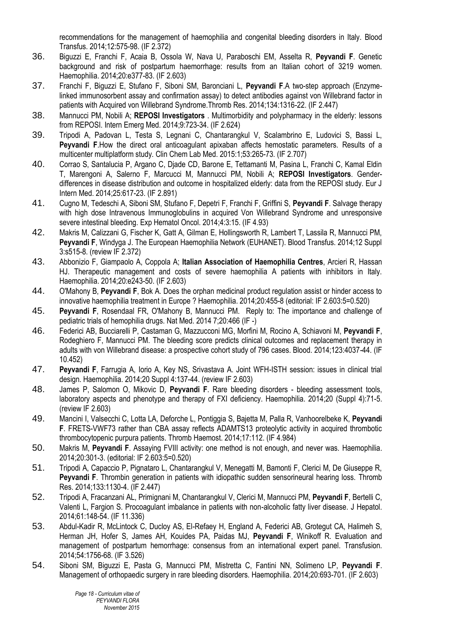recommendations for the management of haemophilia and congenital bleeding disorders in Italy. Blood Transfus. 2014;12:575-98. (IF 2.372)

- 36. Biguzzi E, Franchi F, Acaia B, Ossola W, Nava U, Paraboschi EM, Asselta R, **Peyvandi F**. Genetic background and risk of postpartum haemorrhage: results from an Italian cohort of 3219 women. Haemophilia. 2014;20:e377-83. (IF 2.603)
- 37. Franchi F, Biguzzi E, Stufano F, Siboni SM, Baronciani L, **Peyvandi F**.A two-step approach (Enzymelinked immunosorbent assay and confirmation assay) to detect antibodies against von Willebrand factor in patients with Acquired von Willebrand Syndrome.Thromb Res. 2014;134:1316-22. (IF 2.447)
- 38. Mannucci PM, Nobili A; **REPOSI Investigators** . Multimorbidity and polypharmacy in the elderly: lessons from REPOSI. Intern Emerg Med. 2014;9:723-34. (IF 2.624)
- 39. Tripodi A, Padovan L, Testa S, Legnani C, Chantarangkul V, Scalambrino E, Ludovici S, Bassi L, **Peyvandi F**.How the direct oral anticoagulant apixaban affects hemostatic parameters. Results of a multicenter multiplatform study. Clin Chem Lab Med. 2015:1;53:265-73. (IF 2.707)
- 40. Corrao S, Santalucia P, Argano C, Djade CD, Barone E, Tettamanti M, Pasina L, Franchi C, Kamal Eldin T, Marengoni A, Salerno F, Marcucci M, Mannucci PM, Nobili A; **REPOSI Investigators**. Genderdifferences in disease distribution and outcome in hospitalized elderly: data from the REPOSI study. Eur J Intern Med. 2014;25:617-23. (IF 2.891)
- 41. Cugno M, Tedeschi A, Siboni SM, Stufano F, Depetri F, Franchi F, Griffini S, **Peyvandi F**. Salvage therapy with high dose Intravenous Immunoglobulins in acquired Von Willebrand Syndrome and unresponsive severe intestinal bleeding. Exp Hematol Oncol. 2014;4:3:15. (IF 4.93)
- 42. Makris M, Calizzani G, Fischer K, Gatt A, Gilman E, Hollingsworth R, Lambert T, Lassila R, Mannucci PM, **Peyvandi F**, Windyga J. The European Haemophilia Network (EUHANET). Blood Transfus. 2014;12 Suppl 3:s515-8. (review IF 2.372)
- 43. Abbonizio F, Giampaolo A, Coppola A; **Italian Association of Haemophilia Centres**, Arcieri R, Hassan HJ. Therapeutic management and costs of severe haemophilia A patients with inhibitors in Italy. Haemophilia. 2014;20:e243-50. (IF 2.603)
- 44. O'Mahony B, **Peyvandi F**, Bok A. Does the orphan medicinal product regulation assist or hinder access to innovative haemophilia treatment in Europe ? Haemophilia. 2014;20:455-8 (editorial: IF 2.603:5=0.520)
- 45. **Peyvandi F**, Rosendaal FR, O'Mahony B, Mannucci PM. Reply to: The importance and challenge of pediatric trials of hemophilia drugs. Nat Med. 2014 7;20:466 (IF -)
- 46. Federici AB, Bucciarelli P, Castaman G, Mazzucconi MG, Morfini M, Rocino A, Schiavoni M, **Peyvandi F**, Rodeghiero F, Mannucci PM. The bleeding score predicts clinical outcomes and replacement therapy in adults with von Willebrand disease: a prospective cohort study of 796 cases. Blood. 2014;123:4037-44. (IF 10.452)
- 47. **Peyvandi F**, Farrugia A, Iorio A, Key NS, Srivastava A. Joint WFH-ISTH session: issues in clinical trial design. Haemophilia. 2014;20 Suppl 4:137-44. (review IF 2.603)
- 48. James P, Salomon O, Mikovic D, **Peyvandi F**. Rare bleeding disorders bleeding assessment tools, laboratory aspects and phenotype and therapy of FXI deficiency. Haemophilia. 2014;20 (Suppl 4):71-5. (review IF 2.603)
- 49. Mancini I, Valsecchi C, Lotta LA, Deforche L, Pontiggia S, Bajetta M, Palla R, Vanhoorelbeke K, **Peyvandi F**. FRETS-VWF73 rather than CBA assay reflects ADAMTS13 proteolytic activity in acquired thrombotic thrombocytopenic purpura patients. Thromb Haemost. 2014;17:112. (IF 4.984)
- 50. Makris M, **Peyvandi F**. Assaying FVIII activity: one method is not enough, and never was. Haemophilia. 2014;20:301-3. (editorial: IF 2.603:5=0.520)
- 51. Tripodi A, Capaccio P, Pignataro L, Chantarangkul V, Menegatti M, Bamonti F, Clerici M, De Giuseppe R, **Peyvandi F**. Thrombin generation in patients with idiopathic sudden sensorineural hearing loss. Thromb Res. 2014;133:1130-4. (IF 2.447)
- 52. Tripodi A, Fracanzani AL, Primignani M, Chantarangkul V, Clerici M, Mannucci PM, **Peyvandi F**, Bertelli C, Valenti L, Fargion S. Procoagulant imbalance in patients with non-alcoholic fatty liver disease. J Hepatol. 2014;61:148-54. (IF 11.336)
- 53. Abdul-Kadir R, McLintock C, Ducloy AS, El-Refaey H, England A, Federici AB, Grotegut CA, Halimeh S, Herman JH, Hofer S, James AH, Kouides PA, Paidas MJ, **Peyvandi F**, Winikoff R. Evaluation and management of postpartum hemorrhage: consensus from an international expert panel. Transfusion. 2014;54:1756-68. (IF 3.526)
- 54. Siboni SM, Biguzzi E, Pasta G, Mannucci PM, Mistretta C, Fantini NN, Solimeno LP, **Peyvandi F**. Management of orthopaedic surgery in rare bleeding disorders. Haemophilia. 2014;20:693-701. (IF 2.603)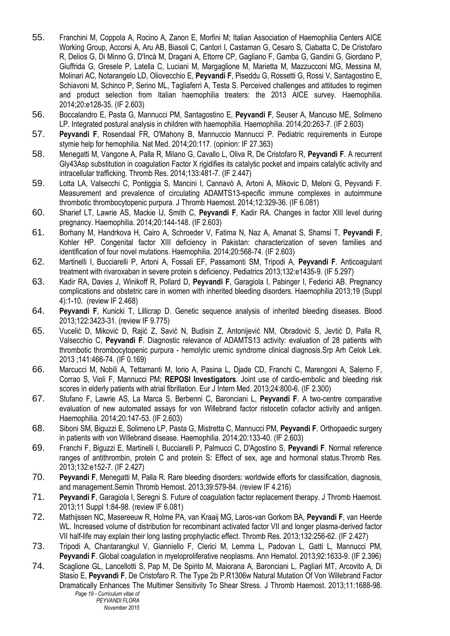- 55. Franchini M, Coppola A, Rocino A, Zanon E, Morfini M; Italian Association of Haemophilia Centers AICE Working Group, Accorsi A, Aru AB, Biasoli C, Cantori I, Castaman G, Cesaro S, Ciabatta C, De Cristofaro R, Delios G, Di Minno G, D'Incà M, Dragani A, Ettorre CP, Gagliano F, Gamba G, Gandini G, Giordano P, Giuffrida G, Gresele P, Latella C, Luciani M, Margaglione M, Marietta M, Mazzucconi MG, Messina M, Molinari AC, Notarangelo LD, Oliovecchio E, **Peyvandi F**, Piseddu G, Rossetti G, Rossi V, Santagostino E, Schiavoni M, Schinco P, Serino ML, Tagliaferri A, Testa S. Perceived challenges and attitudes to regimen and product selection from Italian haemophilia treaters: the 2013 AICE survey. Haemophilia. 2014;20:e128-35. (IF 2.603)
- 56. Boccalandro E, Pasta G, Mannucci PM, Santagostino E, **Peyvandi F**, Seuser A, Mancuso ME, Solimeno LP. Integrated postural analysis in children with haemophilia. Haemophilia. 2014;20:263-7. (IF 2.603)
- 57. **Peyvandi F**, Rosendaal FR, O'Mahony B, Mannuccio Mannucci P. Pediatric requirements in Europe stymie help for hemophilia. Nat Med. 2014;20:117. (opinion: IF 27.363)
- 58. Menegatti M, Vangone A, Palla R, Milano G, Cavallo L, Oliva R, De Cristofaro R, **Peyvandi F**. A recurrent Gly43Asp substitution in coagulation Factor X rigidifies its catalytic pocket and impairs catalytic activity and intracellular trafficking. Thromb Res. 2014;133:481-7. (IF 2.447)
- 59. Lotta LA, Valsecchi C, Pontiggia S, Mancini I, Cannavò A, Artoni A, Mikovic D, Meloni G, Peyvandi F. Measurement and prevalence of circulating ADAMTS13-specific immune complexes in autoimmune thrombotic thrombocytopenic purpura. J Thromb Haemost. 2014;12:329-36. (IF 6.081)
- 60. Sharief LT, Lawrie AS, Mackie IJ, Smith C, **Peyvandi F**, Kadir RA. Changes in factor XIII level during pregnancy. Haemophilia. 2014;20:144-148. (IF 2.603)
- 61. Borhany M, Handrkova H, Cairo A, Schroeder V, Fatima N, Naz A, Amanat S, Shamsi T, **Peyvandi F**, Kohler HP. Congenital factor XIII deficiency in Pakistan: characterization of seven families and identification of four novel mutations. Haemophilia. 2014;20:568-74. (IF 2.603)
- 62. Martinelli I, Bucciarelli P, Artoni A, Fossali EF, Passamonti SM, Tripodi A, **Peyvandi F**. Anticoagulant treatment with rivaroxaban in severe protein s deficiency. Pediatrics 2013;132:e1435-9. (IF 5.297)
- 63. Kadir RA, Davies J, Winikoff R, Pollard D, **Peyvandi F**, Garagiola I, Pabinger I, Federici AB. Pregnancy complications and obstetric care in women with inherited bleeding disorders. Haemophilia 2013;19 (Suppl 4):1-10. (review IF 2.468)
- 64. **Peyvandi F**, Kunicki T, Lillicrap D. Genetic sequence analysis of inherited bleeding diseases. Blood 2013;122:3423-31. (review IF 9.775)
- 65. Vucelić D, Miković D, Rajić Z, Savić N, Budisin Z, Antonijević NM, Obradović S, Jevtić D, Palla R, Valsecchio C, **Peyvandi F**. Diagnostic relevance of ADAMTS13 activity: evaluation of 28 patients with thrombotic thrombocytopenic purpura - hemolytic uremic syndrome clinical diagnosis.Srp Arh Celok Lek. 2013 ;141:466-74. (IF 0.169)
- 66. Marcucci M, Nobili A, Tettamanti M, Iorio A, Pasina L, Djade CD, Franchi C, Marengoni A, Salerno F, Corrao S, Violi F, Mannucci PM; **REPOSI Investigators**. Joint use of cardio-embolic and bleeding risk scores in elderly patients with atrial fibrillation. Eur J Intern Med. 2013;24:800-6. (IF 2.300)
- 67. Stufano F, Lawrie AS, La Marca S, Berbenni C, Baronciani L, **Peyvandi F**. A two-centre comparative evaluation of new automated assays for von Willebrand factor ristocetin cofactor activity and antigen. Haemophilia. 2014;20:147-53. (IF 2.603)
- 68. Siboni SM, Biguzzi E, Solimeno LP, Pasta G, Mistretta C, Mannucci PM, **Peyvandi F**. Orthopaedic surgery in patients with von Willebrand disease. Haemophilia. 2014;20:133-40. (IF 2.603)
- 69. Franchi F, Biguzzi E, Martinelli I, Bucciarelli P, Palmucci C, D'Agostino S, **Peyvandi F**. Normal reference ranges of antithrombin, protein C and protein S: Effect of sex, age and hormonal status.Thromb Res. 2013;132:e152-7. (IF 2.427)
- 70. **Peyvandi F**, Menegatti M, Palla R. Rare bleeding disorders: worldwide efforts for classification, diagnosis, and management.Semin Thromb Hemost. 2013;39:579-84. (review IF 4.216)
- 71. **Peyvandi F**, Garagiola I, Seregni S. Future of coagulation factor replacement therapy. J Thromb Haemost. 2013;11 Suppl 1:84-98. (review IF 6.081)
- 72. Mathijssen NC, Masereeuw R, Holme PA, van Kraaij MG, Laros-van Gorkom BA, **Peyvandi F**, van Heerde WL. Increased volume of distribution for recombinant activated factor VII and longer plasma-derived factor VII half-life may explain their long lasting prophylactic effect. Thromb Res. 2013;132:256-62. (IF 2.427)
- 73. Tripodi A, Chantarangkul V, Gianniello F, Clerici M, Lemma L, Padovan L, Gatti L, Mannucci PM, **Peyvandi F**. Global coagulation in myeloproliferative neoplasms. Ann Hematol. 2013;92:1633-9. (IF 2.396)
- 74. Scaglione GL, Lancellotti S, Pap M, De Spirito M, Maiorana A, Baronciani L, Pagliari MT, Arcovito A, Di Stasio E, **Peyvandi F**, De Cristofaro R. The Type 2b P.R1306w Natural Mutation Of Von Willebrand Factor Dramatically Enhances The Multimer Sensitivity To Shear Stress. J Thromb Haemost. 2013;11:1688-98.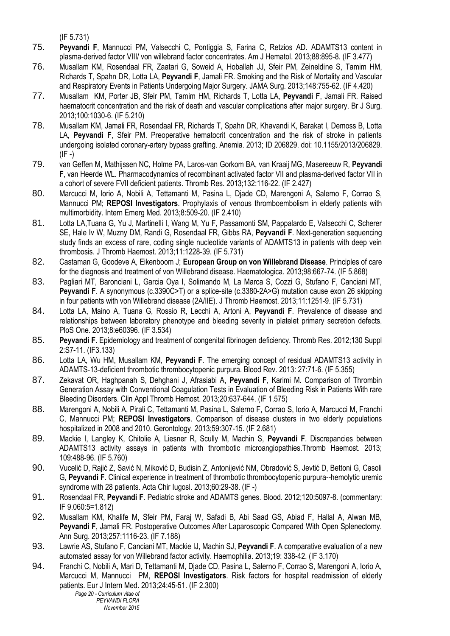(IF 5.731)

- 75. **Peyvandi F**, Mannucci PM, Valsecchi C, Pontiggia S, Farina C, Retzios AD. ADAMTS13 content in plasma-derived factor VIII/ von willebrand factor concentrates. Am J Hematol. 2013;88:895-8. (IF 3.477)
- 76. Musallam KM, Rosendaal FR, Zaatari G, Soweid A, Hoballah JJ, Sfeir PM, Zeineldine S, Tamim HM, Richards T, Spahn DR, Lotta LA, **Peyvandi F**, Jamali FR. Smoking and the Risk of Mortality and Vascular and Respiratory Events in Patients Undergoing Major Surgery. JAMA Surg. 2013;148:755-62. (IF 4.420)
- 77. Musallam KM, Porter JB, Sfeir PM, Tamim HM, Richards T, Lotta LA, **Peyvandi F**, Jamali FR. Raised haematocrit concentration and the risk of death and vascular complications after major surgery. Br J Surg. 2013;100:1030-6. (IF 5.210)
- 78. Musallam KM, Jamali FR, Rosendaal FR, Richards T, Spahn DR, Khavandi K, Barakat I, Demoss B, Lotta LA, **Peyvandi F**, Sfeir PM. Preoperative hematocrit concentration and the risk of stroke in patients undergoing isolated coronary-artery bypass grafting. Anemia. 2013; ID 206829. doi: 10.1155/2013/206829.  $(IF - )$
- 79. van Geffen M, Mathijssen NC, Holme PA, Laros-van Gorkom BA, van Kraaij MG, Masereeuw R, **Peyvandi F**, van Heerde WL. Pharmacodynamics of recombinant activated factor VII and plasma-derived factor VII in a cohort of severe FVII deficient patients. Thromb Res. 2013;132:116-22. (IF 2.427)
- 80. Marcucci M, Iorio A, Nobili A, Tettamanti M, Pasina L, Djade CD, Marengoni A, Salerno F, Corrao S, Mannucci PM; **REPOSI Investigators**. Prophylaxis of venous thromboembolism in elderly patients with multimorbidity. Intern Emerg Med. 2013;8:509-20. (IF 2.410)
- 81. Lotta LA,Tuana G, Yu J, Martinelli I, Wang M, Yu F, Passamonti SM, Pappalardo E, Valsecchi C, Scherer SE, Hale Iv W, Muzny DM, Randi G, Rosendaal FR, Gibbs RA, **Peyvandi F**. Next-generation sequencing study finds an excess of rare, coding single nucleotide variants of ADAMTS13 in patients with deep vein thrombosis. J Thromb Haemost. 2013;11:1228-39. (IF 5.731)
- 82. Castaman G, Goodeve A, Eikenboom J; **European Group on von Willebrand Disease**. Principles of care for the diagnosis and treatment of von Willebrand disease. Haematologica. 2013;98:667-74. (IF 5.868)
- 83. Pagliari MT, Baronciani L, Garcia Oya I, Solimando M, La Marca S, Cozzi G, Stufano F, Canciani MT, **Peyvandi F**. A synonymous (c.3390C>T) or a splice-site (c.3380-2A>G) mutation cause exon 26 skipping in four patients with von Willebrand disease (2A/IIE). J Thromb Haemost. 2013;11:1251-9. (IF 5.731)
- 84. Lotta LA, Maino A, Tuana G, Rossio R, Lecchi A, Artoni A, **Peyvandi F**. Prevalence of disease and relationships between laboratory phenotype and bleeding severity in platelet primary secretion defects. PloS One. 2013;8:e60396. (IF 3.534)
- 85. **Peyvandi F**. Epidemiology and treatment of congenital fibrinogen deficiency. Thromb Res. 2012;130 Suppl 2:S7-11. (IF3.133)
- 86. Lotta LA, Wu HM, Musallam KM, **Peyvandi F**. The emerging concept of residual ADAMTS13 activity in ADAMTS-13-deficient thrombotic thrombocytopenic purpura. Blood Rev. 2013: 27:71-6. (IF 5.355)
- 87. Zekavat OR, Haghpanah S, Dehghani J, Afrasiabi A, **Peyvandi F**, Karimi M. Comparison of Thrombin Generation Assay with Conventional Coagulation Tests in Evaluation of Bleeding Risk in Patients With rare Bleeding Disorders. Clin Appl Thromb Hemost. 2013;20:637-644. (IF 1.575)
- 88. Marengoni A, Nobili A, Pirali C, Tettamanti M, Pasina L, Salerno F, Corrao S, Iorio A, Marcucci M, Franchi C, Mannucci PM; **REPOSI Investigators**. Comparison of disease clusters in two elderly populations hospitalized in 2008 and 2010. Gerontology. 2013;59:307-15. (IF 2.681)
- 89. Mackie I, Langley K, Chitolie A, Liesner R, Scully M, Machin S, **Peyvandi F**. Discrepancies between ADAMTS13 activity assays in patients with thrombotic microangiopathies.Thromb Haemost. 2013; 109:488-96. (IF 5.760)
- 90. Vucelić D, Rajić Z, Savić N, Miković D, Budisin Z, Antonijević NM, Obradović S, Jevtić D, Bettoni G, Casoli G, **Peyvandi F**. Clinical experience in treatment of thrombotic thrombocytopenic purpura--hemolytic uremic syndrome with 28 patients. Acta Chir Iugosl. 2013;60:29-38. (IF -)
- 91. Rosendaal FR, **Peyvandi F**. Pediatric stroke and ADAMTS genes. Blood. 2012;120:5097-8. (commentary: IF 9.060:5=1.812)
- 92. Musallam KM, Khalife M, Sfeir PM, Faraj W, Safadi B, Abi Saad GS, Abiad F, Hallal A, Alwan MB, **Peyvandi F**, Jamali FR. Postoperative Outcomes After Laparoscopic Compared With Open Splenectomy. Ann Surg. 2013;257:1116-23. (IF 7.188)
- 93. Lawrie AS, Stufano F, Canciani MT, Mackie IJ, Machin SJ, **Peyvandi F**. A comparative evaluation of a new automated assay for von Willebrand factor activity. Haemophilia. 2013;19: 338-42. (IF 3.170)
- 94. Franchi C, Nobili A, Mari D, Tettamanti M, Djade CD, Pasina L, Salerno F, Corrao S, Marengoni A, Iorio A, Marcucci M, Mannucci PM, **REPOSI Investigators**. Risk factors for hospital readmission of elderly patients. Eur J Intern Med. 2013;24:45-51. (IF 2.300)

*Page 20 - Curriculum vitae of PEYVANDI FLORA November 2015*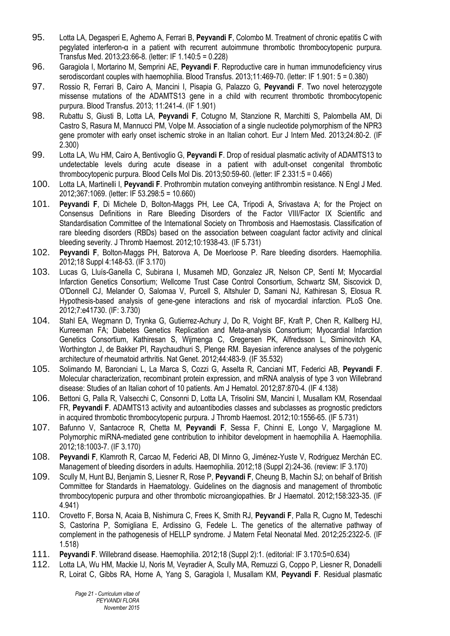- 95. Lotta LA, Degasperi E, Aghemo A, Ferrari B, **Peyvandi F**, Colombo M. Treatment of chronic epatitis C with pegylated interferon-α in a patient with recurrent autoimmune thrombotic thrombocytopenic purpura. Transfus Med. 2013;23:66-8. (letter: IF 1.140:5 = 0.228)
- 96. Garagiola I, Mortarino M, Semprini AE, **Peyvandi F**. Reproductive care in human immunodeficiency virus serodiscordant couples with haemophilia. Blood Transfus. 2013;11:469-70. (letter: IF 1.901: 5 = 0.380)
- 97. Rossio R, Ferrari B, Cairo A, Mancini I, Pisapia G, Palazzo G, **Peyvandi F**. Two novel heterozygote missense mutations of the ADAMTS13 gene in a child with recurrent thrombotic thrombocytopenic purpura. Blood Transfus. 2013; 11:241-4. (IF 1.901)
- 98. Rubattu S, Giusti B, Lotta LA, **Peyvandi F**, Cotugno M, Stanzione R, Marchitti S, Palombella AM, Di Castro S, Rasura M, Mannucci PM, Volpe M. Association of a single nucleotide polymorphism of the NPR3 gene promoter with early onset ischemic stroke in an Italian cohort. Eur J Intern Med. 2013;24:80-2. (IF 2.300)
- 99. Lotta LA, Wu HM, Cairo A, Bentivoglio G, **Peyvandi F**. Drop of residual plasmatic activity of ADAMTS13 to undetectable levels during acute disease in a patient with adult-onset congenital thrombotic thrombocytopenic purpura. Blood Cells Mol Dis. 2013;50:59-60. (letter: IF 2.331:5 = 0.466)
- 100. Lotta LA, Martinelli I, **Peyvandi F**. Prothrombin mutation conveying antithrombin resistance. N Engl J Med. 2012;367:1069. (letter: IF 53.298:5 = 10.660)
- 101. **Peyvandi F**, Di Michele D, Bolton-Maggs PH, Lee CA, Tripodi A, Srivastava A; for the Project on Consensus Definitions in Rare Bleeding Disorders of the Factor VIII/Factor IX Scientific and Standardisation Committee of the International Society on Thrombosis and Haemostasis. Classification of rare bleeding disorders (RBDs) based on the association between coagulant factor activity and clinical bleeding severity. J Thromb Haemost. 2012;10:1938-43. (IF 5.731)
- 102. **Peyvandi F**, Bolton-Maggs PH, Batorova A, De Moerloose P. Rare bleeding disorders. Haemophilia. 2012;18 Suppl 4:148-53. (IF 3.170)
- 103. Lucas G, Lluís-Ganella C, Subirana I, Musameh MD, Gonzalez JR, Nelson CP, Sentí M; Myocardial Infarction Genetics Consortium; Wellcome Trust Case Control Consortium, Schwartz SM, Siscovick D, O'Donnell CJ, Melander O, Salomaa V, Purcell S, Altshuler D, Samani NJ, Kathiresan S, Elosua R. Hypothesis-based analysis of gene-gene interactions and risk of myocardial infarction. PLoS One. 2012;7:e41730. (IF: 3.730)
- 104. Stahl EA, Wegmann D, Trynka G, Gutierrez-Achury J, Do R, Voight BF, Kraft P, Chen R, Kallberg HJ, Kurreeman FA; Diabetes Genetics Replication and Meta-analysis Consortium; Myocardial Infarction Genetics Consortium, Kathiresan S, Wijmenga C, Gregersen PK, Alfredsson L, Siminovitch KA, Worthington J, de Bakker PI, Raychaudhuri S, Plenge RM. Bayesian inference analyses of the polygenic architecture of rheumatoid arthritis. Nat Genet. 2012;44:483-9. (IF 35.532)
- 105. Solimando M, Baronciani L, La Marca S, Cozzi G, Asselta R, Canciani MT, Federici AB, **Peyvandi F**. Molecular characterization, recombinant protein expression, and mRNA analysis of type 3 von Willebrand disease: Studies of an Italian cohort of 10 patients. Am J Hematol. 2012;87:870-4. (IF 4.138)
- 106. Bettoni G, Palla R, Valsecchi C, Consonni D, Lotta LA, Trisolini SM, Mancini I, Musallam KM, Rosendaal FR, **Peyvandi F**. ADAMTS13 activity and autoantibodies classes and subclasses as prognostic predictors in acquired thrombotic thrombocytopenic purpura. J Thromb Haemost. 2012;10:1556-65. (IF 5.731)
- 107. Bafunno V, Santacroce R, Chetta M, **Peyvandi F**, Sessa F, Chinni E, Longo V, Margaglione M. Polymorphic miRNA-mediated gene contribution to inhibitor development in haemophilia A. Haemophilia. 2012;18:1003-7. (IF 3.170)
- 108. **Peyvandi F**, Klamroth R, Carcao M, Federici AB, DI Minno G, Jiménez-Yuste V, Rodriguez Merchán EC. Management of bleeding disorders in adults. Haemophilia. 2012;18 (Suppl 2):24-36. (review: IF 3.170)
- 109. Scully M, Hunt BJ, Benjamin S, Liesner R, Rose P, **Peyvandi F**, Cheung B, Machin SJ; on behalf of British Committee for Standards in Haematology. Guidelines on the diagnosis and management of thrombotic thrombocytopenic purpura and other thrombotic microangiopathies. Br J Haematol. 2012;158:323-35. (IF 4.941)
- 110. Crovetto F, Borsa N, Acaia B, Nishimura C, Frees K, Smith RJ, **Peyvandi F**, Palla R, Cugno M, Tedeschi S, Castorina P, Somigliana E, Ardissino G, Fedele L. The genetics of the alternative pathway of complement in the pathogenesis of HELLP syndrome. J Matern Fetal Neonatal Med. 2012;25:2322-5. (IF 1.518)
- 111. **Peyvandi F**. Willebrand disease. Haemophilia. 2012;18 (Suppl 2):1. (editorial: IF 3.170:5=0.634)
- 112. Lotta LA, Wu HM, Mackie IJ, Noris M, Veyradier A, Scully MA, Remuzzi G, Coppo P, Liesner R, Donadelli R, Loirat C, Gibbs RA, Horne A, Yang S, Garagiola I, Musallam KM, **Peyvandi F**. Residual plasmatic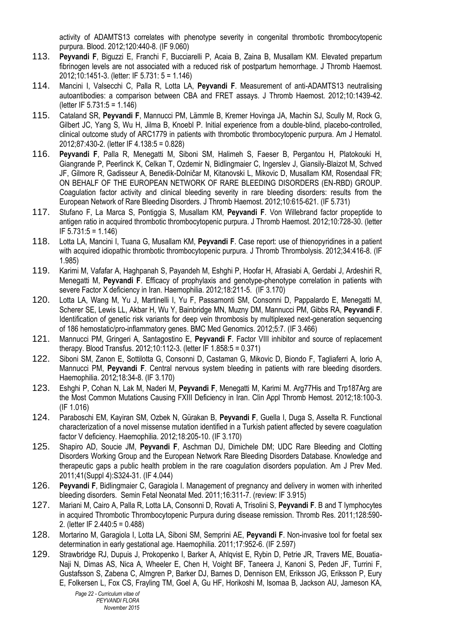activity of ADAMTS13 correlates with phenotype severity in congenital thrombotic thrombocytopenic purpura. Blood. 2012;120:440-8. (IF 9.060)

- 113. **Peyvandi F**, Biguzzi E, Franchi F, Bucciarelli P, Acaia B, Zaina B, Musallam KM. Elevated prepartum fibrinogen levels are not associated with a reduced risk of postpartum hemorrhage. J Thromb Haemost. 2012;10:1451-3. (letter: IF 5.731: 5 = 1.146)
- 114. Mancini I, Valsecchi C, Palla R, Lotta LA, **Peyvandi F**. Measurement of anti-ADAMTS13 neutralising autoantibodies: a comparison between CBA and FRET assays. J Thromb Haemost. 2012;10:1439-42. (letter IF 5.731:5 = 1.146)
- 115. Cataland SR, **Peyvandi F**, Mannucci PM, Lämmle B, Kremer Hovinga JA, Machin SJ, Scully M, Rock G, Gilbert JC, Yang S, Wu H, Jilma B, Knoebl P. Initial experience from a double-blind, placebo-controlled, clinical outcome study of ARC1779 in patients with thrombotic thrombocytopenic purpura. Am J Hematol. 2012;87:430-2. (letter IF 4.138:5 = 0.828)
- 116. **Peyvandi F**, Palla R, Menegatti M, Siboni SM, Halimeh S, Faeser B, Pergantou H, Platokouki H, Giangrande P, Peerlinck K, Celkan T, Ozdemir N, Bidlingmaier C, Ingerslev J, Giansily-Blaizot M, Schved JF, Gilmore R, Gadisseur A, Benedik-Dolničar M, Kitanovski L, Mikovic D, Musallam KM, Rosendaal FR; ON BEHALF OF THE EUROPEAN NETWORK OF RARE BLEEDING DISORDERS (EN-RBD) GROUP. Coagulation factor activity and clinical bleeding severity in rare bleeding disorders: results from the European Network of Rare Bleeding Disorders. J Thromb Haemost. 2012;10:615-621. (IF 5.731)
- 117. Stufano F, La Marca S, Pontiggia S, Musallam KM, **Peyvandi F**. Von Willebrand factor propeptide to antigen ratio in acquired thrombotic thrombocytopenic purpura. J Thromb Haemost. 2012;10:728-30. (letter IF 5.731:5 = 1.146)
- 118. Lotta LA, Mancini I, Tuana G, Musallam KM, **Peyvandi F**. Case report: use of thienopyridines in a patient with acquired idiopathic thrombotic thrombocytopenic purpura. J Thromb Thrombolysis. 2012;34:416-8. (IF 1.985)
- 119. Karimi M, Vafafar A, Haghpanah S, Payandeh M, Eshghi P, Hoofar H, Afrasiabi A, Gerdabi J, Ardeshiri R, Menegatti M, **Peyvandi F**. Efficacy of prophylaxis and genotype-phenotype correlation in patients with severe Factor X deficiency in Iran. Haemophilia. 2012;18:211-5. (IF 3.170)
- 120. Lotta LA, Wang M, Yu J, Martinelli I, Yu F, Passamonti SM, Consonni D, Pappalardo E, Menegatti M, Scherer SE, Lewis LL, Akbar H, Wu Y, Bainbridge MN, Muzny DM, Mannucci PM, Gibbs RA, **Peyvandi F**. Identification of genetic risk variants for deep vein thrombosis by multiplexed next-generation sequencing of 186 hemostatic/pro-inflammatory genes. BMC Med Genomics. 2012;5:7. (IF 3.466)
- 121. Mannucci PM, Gringeri A, Santagostino E, **Peyvandi F**. Factor VIII inhibitor and source of replacement therapy. Blood Transfus. 2012;10:112-3. (letter IF 1.858:5 = 0.371)
- 122. Siboni SM, Zanon E, Sottilotta G, Consonni D, Castaman G, Mikovic D, Biondo F, Tagliaferri A, Iorio A, Mannucci PM, **Peyvandi F**. Central nervous system bleeding in patients with rare bleeding disorders. Haemophilia. 2012;18:34-8. (IF 3.170)
- 123. Eshghi P, Cohan N, Lak M, Naderi M, **Peyvandi F**, Menegatti M, Karimi M. Arg77His and Trp187Arg are the Most Common Mutations Causing FXIII Deficiency in Iran. Clin Appl Thromb Hemost. 2012;18:100-3. (IF 1.016)
- 124. Paraboschi EM, Kayiran SM, Ozbek N, Gürakan B, **Peyvandi F**, Guella I, Duga S, Asselta R. Functional characterization of a novel missense mutation identified in a Turkish patient affected by severe coagulation factor V deficiency. Haemophilia. 2012;18:205-10. (IF 3.170)
- 125. Shapiro AD, Soucie JM, **Peyvandi F**, Aschman DJ, Dimichele DM; UDC Rare Bleeding and Clotting Disorders Working Group and the European Network Rare Bleeding Disorders Database. Knowledge and therapeutic gaps a public health problem in the rare coagulation disorders population. Am J Prev Med. 2011;41(Suppl 4):S324-31. (IF 4.044)
- 126. **Peyvandi F**, Bidlingmaier C, Garagiola I. Management of pregnancy and delivery in women with inherited bleeding disorders. Semin Fetal Neonatal Med. 2011;16:311-7. (review: IF 3.915)
- 127. Mariani M, Cairo A, Palla R, Lotta LA, Consonni D, Rovati A, Trisolini S, **Peyvandi F**. B and T lymphocytes in acquired Thrombotic Thrombocytopenic Purpura during disease remission. Thromb Res. 2011;128:590- 2. (letter IF 2.440:5 = 0.488)
- 128. Mortarino M, Garagiola I, Lotta LA, Siboni SM, Semprini AE, **Peyvandi F**. Non-invasive tool for foetal sex determination in early gestational age. Haemophilia. 2011;17:952-6. (IF 2.597)
- 129. Strawbridge RJ, Dupuis J, Prokopenko I, Barker A, Ahlqvist E, Rybin D, Petrie JR, Travers ME, Bouatia-Naji N, Dimas AS, Nica A, Wheeler E, Chen H, Voight BF, Taneera J, Kanoni S, Peden JF, Turrini F, Gustafsson S, Zabena C, Almgren P, Barker DJ, Barnes D, Dennison EM, Eriksson JG, Eriksson P, Eury E, Folkersen L, Fox CS, Frayling TM, Goel A, Gu HF, Horikoshi M, Isomaa B, Jackson AU, Jameson KA,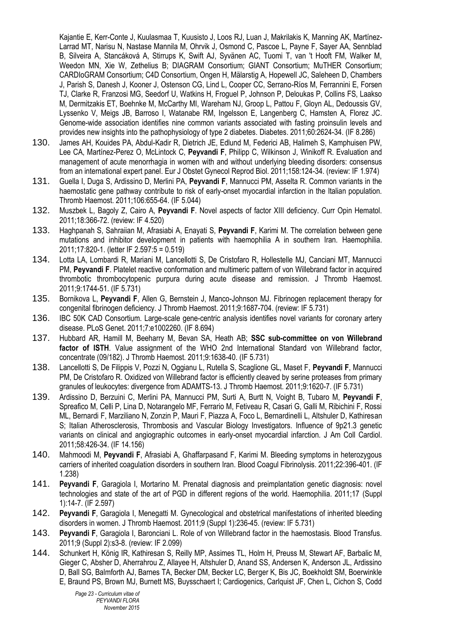Kajantie E, Kerr-Conte J, Kuulasmaa T, Kuusisto J, Loos RJ, Luan J, Makrilakis K, Manning AK, Martínez-Larrad MT, Narisu N, Nastase Mannila M, Ohrvik J, Osmond C, Pascoe L, Payne F, Sayer AA, Sennblad B, Silveira A, Stancáková A, Stirrups K, Swift AJ, Syvänen AC, Tuomi T, van 't Hooft FM, Walker M, Weedon MN, Xie W, Zethelius B; DIAGRAM Consortium; GIANT Consortium; MuTHER Consortium; CARDIoGRAM Consortium; C4D Consortium, Ongen H, Mälarstig A, Hopewell JC, Saleheen D, Chambers J, Parish S, Danesh J, Kooner J, Ostenson CG, Lind L, Cooper CC, Serrano-Ríos M, Ferrannini E, Forsen TJ, Clarke R, Franzosi MG, Seedorf U, Watkins H, Froguel P, Johnson P, Deloukas P, Collins FS, Laakso M, Dermitzakis ET, Boehnke M, McCarthy MI, Wareham NJ, Groop L, Pattou F, Gloyn AL, Dedoussis GV, Lyssenko V, Meigs JB, Barroso I, Watanabe RM, Ingelsson E, Langenberg C, Hamsten A, Florez JC. Genome-wide association identifies nine common variants associated with fasting proinsulin levels and provides new insights into the pathophysiology of type 2 diabetes. Diabetes. 2011;60:2624-34. (IF 8.286)

- 130. James AH, Kouides PA, Abdul-Kadir R, Dietrich JE, Edlund M, Federici AB, Halimeh S, Kamphuisen PW, Lee CA, Martínez-Perez O, McLintock C, **Peyvandi F**, Philipp C, Wilkinson J, Winikoff R. Evaluation and management of acute menorrhagia in women with and without underlying bleeding disorders: consensus from an international expert panel. Eur J Obstet Gynecol Reprod Biol. 2011;158:124-34. (review: IF 1.974)
- 131. Guella I, Duga S, Ardissino D, Merlini PA, **Peyvandi F**, Mannucci PM, Asselta R. Common variants in the haemostatic gene pathway contribute to risk of early-onset myocardial infarction in the Italian population. Thromb Haemost. 2011;106:655-64. (IF 5.044)
- 132. Muszbek L, Bagoly Z, Cairo A, **Peyvandi F**. Novel aspects of factor XIII deficiency. Curr Opin Hematol. 2011;18:366-72. (review: IF 4.520)
- 133. Haghpanah S, Sahraiian M, Afrasiabi A, Enayati S, **Peyvandi F**, Karimi M. The correlation between gene mutations and inhibitor development in patients with haemophilia A in southern Iran. Haemophilia. 2011;17:820-1. (letter IF 2.597:5 = 0.519)
- 134. Lotta LA, Lombardi R, Mariani M, Lancellotti S, De Cristofaro R, Hollestelle MJ, Canciani MT, Mannucci PM, **Peyvandi F**. Platelet reactive conformation and multimeric pattern of von Willebrand factor in acquired thrombotic thrombocytopenic purpura during acute disease and remission. J Thromb Haemost. 2011;9:1744-51. (IF 5.731)
- 135. Bornikova L, **Peyvandi F**, Allen G, Bernstein J, Manco-Johnson MJ. Fibrinogen replacement therapy for congenital fibrinogen deficiency. J Thromb Haemost. 2011;9:1687-704. (review: IF 5.731)
- 136. IBC 50K CAD Consortium. Large-scale gene-centric analysis identifies novel variants for coronary artery disease. PLoS Genet. 2011;7:e1002260. (IF 8.694)
- 137. Hubbard AR, Hamill M, Beeharry M, Bevan SA, Heath AB; **SSC sub-committee on von Willebrand factor of ISTH**. Value assignment of the WHO 2nd International Standard von Willebrand factor, concentrate (09/182). J Thromb Haemost. 2011;9:1638-40. (IF 5.731)
- 138. Lancellotti S, De Filippis V, Pozzi N, Oggianu L, Rutella S, Scaglione GL, Maset F, **Peyvandi F**, Mannucci PM, De Cristofaro R. Oxidized von Willebrand factor is efficiently cleaved by serine proteases from primary granules of leukocytes: divergence from ADAMTS-13. J Thromb Haemost. 2011;9:1620-7. (IF 5.731)
- 139. Ardissino D, Berzuini C, Merlini PA, Mannucci PM, Surti A, Burtt N, Voight B, Tubaro M, **Peyvandi F**, Spreafico M, Celli P, Lina D, Notarangelo MF, Ferrario M, Fetiveau R, Casari G, Galli M, Ribichini F, Rossi ML, Bernardi F, Marziliano N, Zonzin P, Mauri F, Piazza A, Foco L, Bernardinelli L, Altshuler D, Kathiresan S; Italian Atherosclerosis, Thrombosis and Vascular Biology Investigators. Influence of 9p21.3 genetic variants on clinical and angiographic outcomes in early-onset myocardial infarction. J Am Coll Cardiol. 2011;58:426-34. (IF 14.156)
- 140. Mahmoodi M, **Peyvandi F**, Afrasiabi A, Ghaffarpasand F, Karimi M. Bleeding symptoms in heterozygous carriers of inherited coagulation disorders in southern Iran. Blood Coagul Fibrinolysis. 2011;22:396-401. (IF 1.238)
- 141. **Peyvandi F**, Garagiola I, Mortarino M. Prenatal diagnosis and preimplantation genetic diagnosis: novel technologies and state of the art of PGD in different regions of the world. Haemophilia. 2011;17 (Suppl 1):14-7. (IF 2.597)
- 142. **Peyvandi F**, Garagiola I, Menegatti M. Gynecological and obstetrical manifestations of inherited bleeding disorders in women. J Thromb Haemost. 2011;9 (Suppl 1):236-45. (review: IF 5.731)
- 143. **Peyvandi F**, Garagiola I, Baronciani L. Role of von Willebrand factor in the haemostasis. Blood Transfus. 2011;9 (Suppl 2):s3-8. (review: IF 2.099)
- 144. Schunkert H, König IR, Kathiresan S, Reilly MP, Assimes TL, Holm H, Preuss M, Stewart AF, Barbalic M, Gieger C, Absher D, Aherrahrou Z, Allayee H, Altshuler D, Anand SS, Andersen K, Anderson JL, Ardissino D, Ball SG, Balmforth AJ, Barnes TA, Becker DM, Becker LC, Berger K, Bis JC, Boekholdt SM, Boerwinkle E, Braund PS, Brown MJ, Burnett MS, Buysschaert I; Cardiogenics, Carlquist JF, Chen L, Cichon S, Codd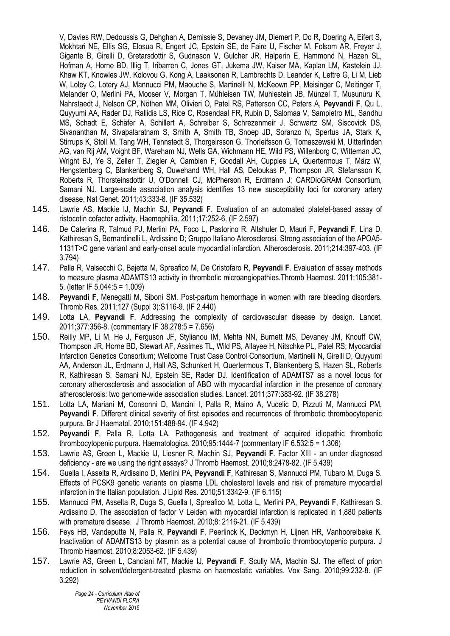V, Davies RW, Dedoussis G, Dehghan A, Demissie S, Devaney JM, Diemert P, Do R, Doering A, Eifert S, Mokhtari NE, Ellis SG, Elosua R, Engert JC, Epstein SE, de Faire U, Fischer M, Folsom AR, Freyer J, Gigante B, Girelli D, Gretarsdottir S, Gudnason V, Gulcher JR, Halperin E, Hammond N, Hazen SL, Hofman A, Horne BD, Illig T, Iribarren C, Jones GT, Jukema JW, Kaiser MA, Kaplan LM, Kastelein JJ, Khaw KT, Knowles JW, Kolovou G, Kong A, Laaksonen R, Lambrechts D, Leander K, Lettre G, Li M, Lieb W, Loley C, Lotery AJ, Mannucci PM, Maouche S, Martinelli N, McKeown PP, Meisinger C, Meitinger T, Melander O, Merlini PA, Mooser V, Morgan T, Mühleisen TW, Muhlestein JB, Münzel T, Musunuru K, Nahrstaedt J, Nelson CP, Nöthen MM, Olivieri O, Patel RS, Patterson CC, Peters A, **Peyvandi F**, Qu L, Quyyumi AA, Rader DJ, Rallidis LS, Rice C, Rosendaal FR, Rubin D, Salomaa V, Sampietro ML, Sandhu MS, Schadt E, Schäfer A, Schillert A, Schreiber S, Schrezenmeir J, Schwartz SM, Siscovick DS, Sivananthan M, Sivapalaratnam S, Smith A, Smith TB, Snoep JD, Soranzo N, Spertus JA, Stark K, Stirrups K, Stoll M, Tang WH, Tennstedt S, Thorgeirsson G, Thorleifsson G, Tomaszewski M, Uitterlinden AG, van Rij AM, Voight BF, Wareham NJ, Wells GA, Wichmann HE, Wild PS, Willenborg C, Witteman JC, Wright BJ, Ye S, Zeller T, Ziegler A, Cambien F, Goodall AH, Cupples LA, Quertermous T, März W, Hengstenberg C, Blankenberg S, Ouwehand WH, Hall AS, Deloukas P, Thompson JR, Stefansson K, Roberts R, Thorsteinsdottir U, O'Donnell CJ, McPherson R, Erdmann J; CARDIoGRAM Consortium, Samani NJ. Large-scale association analysis identifies 13 new susceptibility loci for coronary artery disease. Nat Genet. 2011;43:333-8. (IF 35.532)

- 145. Lawrie AS, Mackie IJ, Machin SJ, **Peyvandi F**. Evaluation of an automated platelet-based assay of ristocetin cofactor activity. Haemophilia. 2011;17:252-6. (IF 2.597)
- 146. De Caterina R, Talmud PJ, Merlini PA, Foco L, Pastorino R, Altshuler D, Mauri F, **Peyvandi F**, Lina D, Kathiresan S, Bernardinelli L, Ardissino D; Gruppo Italiano Aterosclerosi. Strong association of the APOA5- 1131T>C gene variant and early-onset acute myocardial infarction. Atherosclerosis. 2011;214:397-403. (IF 3.794)
- 147. Palla R, Valsecchi C, Bajetta M, Spreafico M, De Cristofaro R, **Peyvandi F**. Evaluation of assay methods to measure plasma ADAMTS13 activity in thrombotic microangiopathies.Thromb Haemost. 2011;105:381- 5. (letter IF 5.044:5 = 1.009)
- 148. **Peyvandi F**, Menegatti M, Siboni SM. Post-partum hemorrhage in women with rare bleeding disorders. Thromb Res. 2011;127 (Suppl 3):S116-9. (IF 2.440)
- 149. Lotta LA, **Peyvandi F**. Addressing the complexity of cardiovascular disease by design. Lancet. 2011;377:356-8. (commentary IF 38.278:5 = 7.656)
- 150. Reilly MP, Li M, He J, Ferguson JF, Stylianou IM, Mehta NN, Burnett MS, Devaney JM, Knouff CW, Thompson JR, Horne BD, Stewart AF, Assimes TL, Wild PS, Allayee H, Nitschke PL, Patel RS; Myocardial Infarction Genetics Consortium; Wellcome Trust Case Control Consortium, Martinelli N, Girelli D, Quyyumi AA, Anderson JL, Erdmann J, Hall AS, Schunkert H, Quertermous T, Blankenberg S, Hazen SL, Roberts R, Kathiresan S, Samani NJ, Epstein SE, Rader DJ. Identification of ADAMTS7 as a novel locus for coronary atherosclerosis and association of ABO with myocardial infarction in the presence of coronary atherosclerosis: two genome-wide association studies. Lancet. 2011;377:383-92. (IF 38.278)
- 151. Lotta LA, Mariani M, Consonni D, Mancini I, Palla R, Maino A, Vucelic D, Pizzuti M, Mannucci PM, **Peyvandi F.** Different clinical severity of first episodes and recurrences of thrombotic thrombocytopenic purpura. Br J Haematol. 2010;151:488-94. (IF 4.942)
- 152. **Peyvandi F**, Palla R, Lotta LA. Pathogenesis and treatment of acquired idiopathic thrombotic thrombocytopenic purpura. Haematologica. 2010;95:1444-7 (commentary IF 6.532:5 = 1.306)
- 153. Lawrie AS, Green L, Mackie IJ, Liesner R, Machin SJ, **Peyvandi F**. Factor XIII an under diagnosed deficiency - are we using the right assays? J Thromb Haemost. 2010;8:2478-82. (IF 5.439)
- 154. Guella I, Asselta R, Ardissino D, Merlini PA, **Peyvandi F**, Kathiresan S, Mannucci PM, Tubaro M, Duga S. Effects of PCSK9 genetic variants on plasma LDL cholesterol levels and risk of premature myocardial infarction in the Italian population. J Lipid Res. 2010;51:3342-9. (IF 6.115)
- 155. Mannucci PM, Asselta R, Duga S, Guella I, Spreafico M, Lotta L, Merlini PA, **Peyvandi F**, Kathiresan S, Ardissino D. The association of factor V Leiden with myocardial infarction is replicated in 1,880 patients with premature disease. J Thromb Haemost. 2010;8: 2116-21. (IF 5.439)
- 156. Feys HB, Vandeputte N, Palla R, **Peyvandi F**, Peerlinck K, Deckmyn H, Lijnen HR, Vanhoorelbeke K. Inactivation of ADAMTS13 by plasmin as a potential cause of thrombotic thrombocytopenic purpura. J Thromb Haemost. 2010;8:2053-62. (IF 5.439)
- 157. Lawrie AS, Green L, Canciani MT, Mackie IJ, **Peyvandi F**, Scully MA, Machin SJ. The effect of prion reduction in solvent/detergent-treated plasma on haemostatic variables. Vox Sang. 2010;99:232-8. (IF 3.292)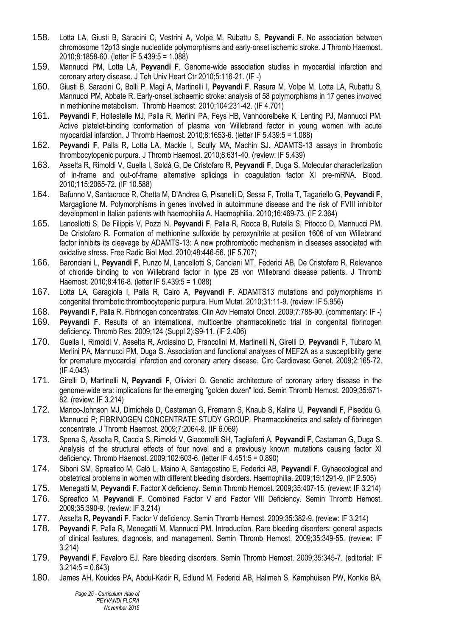- 158. Lotta LA, Giusti B, Saracini C, Vestrini A, Volpe M, Rubattu S, **Peyvandi F**. No association between chromosome 12p13 single nucleotide polymorphisms and early-onset ischemic stroke. J Thromb Haemost. 2010;8:1858-60. (letter IF 5.439:5 = 1.088)
- 159. Mannucci PM, Lotta LA, **Peyvandi F**. Genome-wide association studies in myocardial infarction and coronary artery disease. J Teh Univ Heart Ctr 2010;5:116-21. (IF -)
- 160. Giusti B, Saracini C, Bolli P, Magi A, Martinelli I, **Peyvandi F**, Rasura M, Volpe M, Lotta LA, Rubattu S, Mannucci PM, Abbate R. Early-onset ischaemic stroke: analysis of 58 polymorphisms in 17 genes involved in methionine metabolism. Thromb Haemost. 2010;104:231-42. (IF 4.701)
- 161. **Peyvandi F**, Hollestelle MJ, Palla R, Merlini PA, Feys HB, Vanhoorelbeke K, Lenting PJ, Mannucci PM. Active platelet-binding conformation of plasma von Willebrand factor in young women with acute myocardial infarction. J Thromb Haemost. 2010;8:1653-6. (letter IF 5.439:5 = 1.088)
- 162. **Peyvandi F**, Palla R, Lotta LA, Mackie I, Scully MA, Machin SJ. ADAMTS-13 assays in thrombotic thrombocytopenic purpura. J Thromb Haemost. 2010;8:631-40. (review: IF 5.439)
- 163. Asselta R, Rimoldi V, Guella I, Soldà G, De Cristofaro R, **Peyvandi F**, Duga S. Molecular characterization of in-frame and out-of-frame alternative splicings in coagulation factor XI pre-mRNA. Blood. 2010;115:2065-72. (IF 10.588)
- 164. Bafunno V, Santacroce R, Chetta M, D'Andrea G, Pisanelli D, Sessa F, Trotta T, Tagariello G, **Peyvandi F**, Margaglione M. Polymorphisms in genes involved in autoimmune disease and the risk of FVIII inhibitor development in Italian patients with haemophilia A. Haemophilia. 2010;16:469-73. (IF 2.364)
- 165. Lancellotti S, De Filippis V, Pozzi N, **Peyvandi F**, Palla R, Rocca B, Rutella S, Pitocco D, Mannucci PM, De Cristofaro R. Formation of methionine sulfoxide by peroxynitrite at position 1606 of von Willebrand factor inhibits its cleavage by ADAMTS-13: A new prothrombotic mechanism in diseases associated with oxidative stress. Free Radic Biol Med. 2010;48:446-56. (IF 5.707)
- 166. Baronciani L, **Peyvandi F**, Punzo M, Lancellotti S, Canciani MT, Federici AB, De Cristofaro R. Relevance of chloride binding to von Willebrand factor in type 2B von Willebrand disease patients. J Thromb Haemost. 2010;8:416-8. (letter IF 5.439:5 = 1.088)
- 167. Lotta LA, Garagiola I, Palla R, Cairo A, **Peyvandi F**. ADAMTS13 mutations and polymorphisms in congenital thrombotic thrombocytopenic purpura. Hum Mutat. 2010;31:11-9. (review: IF 5.956)
- 168. **Peyvandi F**, Palla R. Fibrinogen concentrates. Clin Adv Hematol Oncol. 2009;7:788-90. (commentary: IF -)
- 169. **Peyvandi F**. Results of an international, multicentre pharmacokinetic trial in congenital fibrinogen deficiency. Thromb Res. 2009;124 (Suppl 2):S9-11. (IF 2.406)
- 170. Guella I, Rimoldi V, Asselta R, Ardissino D, Francolini M, Martinelli N, Girelli D, **Peyvandi** F, Tubaro M, Merlini PA, Mannucci PM, Duga S. Association and functional analyses of MEF2A as a susceptibility gene for premature myocardial infarction and coronary artery disease. Circ Cardiovasc Genet. 2009;2:165-72. (IF 4.043)
- 171. Girelli D, Martinelli N, **Peyvandi F**, Olivieri O. Genetic architecture of coronary artery disease in the genome-wide era: implications for the emerging "golden dozen" loci. Semin Thromb Hemost. 2009;35:671- 82. (review: IF 3.214)
- 172. Manco-Johnson MJ, Dimichele D, Castaman G, Fremann S, Knaub S, Kalina U, **Peyvandi F**, Piseddu G, Mannucci P; FIBRINOGEN CONCENTRATE STUDY GROUP. Pharmacokinetics and safety of fibrinogen concentrate. J Thromb Haemost. 2009;7:2064-9. (IF 6.069)
- 173. Spena S, Asselta R, Caccia S, Rimoldi V, Giacomelli SH, Tagliaferri A, **Peyvandi F**, Castaman G, Duga S. Analysis of the structural effects of four novel and a previously known mutations causing factor XI deficiency. Thromb Haemost. 2009;102:603-6. (letter IF 4.451:5 = 0.890)
- 174. Siboni SM, Spreafico M, Calò L, Maino A, Santagostino E, Federici AB, **Peyvandi F**. Gynaecological and obstetrical problems in women with different bleeding disorders. Haemophilia. 2009;15:1291-9. (IF 2.505)
- 175. Menegatti M, **Peyvandi F**. Factor X deficiency. Semin Thromb Hemost. 2009;35:407-15. (review: IF 3.214)
- 176. Spreafico M, **Peyvandi F**. Combined Factor V and Factor VIII Deficiency. Semin Thromb Hemost. 2009;35:390-9. (review: IF 3.214)
- 177. Asselta R, **Peyvandi F**. Factor V deficiency. Semin Thromb Hemost. 2009;35:382-9. (review: IF 3.214)
- 178. **Peyvandi F**, Palla R, Menegatti M, Mannucci PM. Introduction. Rare bleeding disorders: general aspects of clinical features, diagnosis, and management. Semin Thromb Hemost. 2009;35:349-55. (review: IF 3.214)
- 179. **Peyvandi F**, Favaloro EJ. Rare bleeding disorders. Semin Thromb Hemost. 2009;35:345-7. (editorial: IF  $3.214:5 = 0.643$
- 180. James AH, Kouides PA, Abdul-Kadir R, Edlund M, Federici AB, Halimeh S, Kamphuisen PW, Konkle BA,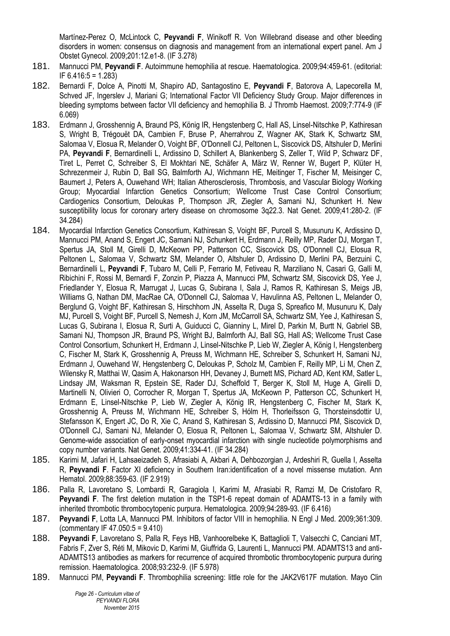Martínez-Perez O, McLintock C, **Peyvandi F**, Winikoff R. Von Willebrand disease and other bleeding disorders in women: consensus on diagnosis and management from an international expert panel. Am J Obstet Gynecol. 2009;201:12.e1-8. (IF 3.278)

- 181. Mannucci PM, **Peyvandi F**. Autoimmune hemophilia at rescue. Haematologica. 2009;94:459-61. (editorial: IF 6.416:5 = 1.283)
- 182. Bernardi F, Dolce A, Pinotti M, Shapiro AD, Santagostino E, **Peyvandi F**, Batorova A, Lapecorella M, Schved JF, Ingerslev J, Mariani G; International Factor VII Deficiency Study Group. Major differences in bleeding symptoms between factor VII deficiency and hemophilia B. J Thromb Haemost. 2009;7:774-9 (IF 6.069)
- 183. Erdmann J, Grosshennig A, Braund PS, König IR, Hengstenberg C, Hall AS, Linsel-Nitschke P, Kathiresan S, Wright B, Trégouët DA, Cambien F, Bruse P, Aherrahrou Z, Wagner AK, Stark K, Schwartz SM, Salomaa V, Elosua R, Melander O, Voight BF, O'Donnell CJ, Peltonen L, Siscovick DS, Altshuler D, Merlini PA, **Peyvandi F**, Bernardinelli L, Ardissino D, Schillert A, Blankenberg S, Zeller T, Wild P, Schwarz DF, Tiret L, Perret C, Schreiber S, El Mokhtari NE, Schäfer A, März W, Renner W, Bugert P, Klüter H, Schrezenmeir J, Rubin D, Ball SG, Balmforth AJ, Wichmann HE, Meitinger T, Fischer M, Meisinger C, Baumert J, Peters A, Ouwehand WH; Italian Atherosclerosis, Thrombosis, and Vascular Biology Working Group; Myocardial Infarction Genetics Consortium; Wellcome Trust Case Control Consortium; Cardiogenics Consortium, Deloukas P, Thompson JR, Ziegler A, Samani NJ, Schunkert H. New susceptibility locus for coronary artery disease on chromosome 3q22.3. Nat Genet. 2009;41:280-2. (IF 34.284)
- 184. Myocardial Infarction Genetics Consortium, Kathiresan S, Voight BF, Purcell S, Musunuru K, Ardissino D, Mannucci PM, Anand S, Engert JC, Samani NJ, Schunkert H, Erdmann J, Reilly MP, Rader DJ, Morgan T, Spertus JA, Stoll M, Girelli D, McKeown PP, Patterson CC, Siscovick DS, O'Donnell CJ, Elosua R, Peltonen L, Salomaa V, Schwartz SM, Melander O, Altshuler D, Ardissino D, Merlini PA, Berzuini C, Bernardinelli L, **Peyvandi F**, Tubaro M, Celli P, Ferrario M, Fetiveau R, Marziliano N, Casari G, Galli M, Ribichini F, Rossi M, Bernardi F, Zonzin P, Piazza A, Mannucci PM, Schwartz SM, Siscovick DS, Yee J, Friedlander Y, Elosua R, Marrugat J, Lucas G, Subirana I, Sala J, Ramos R, Kathiresan S, Meigs JB, Williams G, Nathan DM, MacRae CA, O'Donnell CJ, Salomaa V, Havulinna AS, Peltonen L, Melander O, Berglund G, Voight BF, Kathiresan S, Hirschhorn JN, Asselta R, Duga S, Spreafico M, Musunuru K, Daly MJ, Purcell S, Voight BF, Purcell S, Nemesh J, Korn JM, McCarroll SA, Schwartz SM, Yee J, Kathiresan S, Lucas G, Subirana I, Elosua R, Surti A, Guiducci C, Gianniny L, Mirel D, Parkin M, Burtt N, Gabriel SB, Samani NJ, Thompson JR, Braund PS, Wright BJ, Balmforth AJ, Ball SG, Hall AS; Wellcome Trust Case Control Consortium, Schunkert H, Erdmann J, Linsel-Nitschke P, Lieb W, Ziegler A, König I, Hengstenberg C, Fischer M, Stark K, Grosshennig A, Preuss M, Wichmann HE, Schreiber S, Schunkert H, Samani NJ, Erdmann J, Ouwehand W, Hengstenberg C, Deloukas P, Scholz M, Cambien F, Reilly MP, Li M, Chen Z, Wilensky R, Matthai W, Qasim A, Hakonarson HH, Devaney J, Burnett MS, Pichard AD, Kent KM, Satler L, Lindsay JM, Waksman R, Epstein SE, Rader DJ, Scheffold T, Berger K, Stoll M, Huge A, Girelli D, Martinelli N, Olivieri O, Corrocher R, Morgan T, Spertus JA, McKeown P, Patterson CC, Schunkert H, Erdmann E, Linsel-Nitschke P, Lieb W, Ziegler A, König IR, Hengstenberg C, Fischer M, Stark K, Grosshennig A, Preuss M, Wichmann HE, Schreiber S, Hólm H, Thorleifsson G, Thorsteinsdottir U, Stefansson K, Engert JC, Do R, Xie C, Anand S, Kathiresan S, Ardissino D, Mannucci PM, Siscovick D, O'Donnell CJ, Samani NJ, Melander O, Elosua R, Peltonen L, Salomaa V, Schwartz SM, Altshuler D. Genome-wide association of early-onset myocardial infarction with single nucleotide polymorphisms and copy number variants. Nat Genet. 2009;41:334-41. (IF 34.284)
- 185. Karimi M, Jafari H, Lahsaeizadeh S, Afrasiabi A, Akbari A, Dehbozorgian J, Ardeshiri R, Guella I, Asselta R, **Peyvandi F**. Factor XI deficiency in Southern Iran:identification of a novel missense mutation. Ann Hematol. 2009;88:359-63. (IF 2.919)
- 186. Palla R, Lavoretano S, Lombardi R, Garagiola I, Karimi M, Afrasiabi R, Ramzi M, De Cristofaro R, **Peyvandi F**. The first deletion mutation in the TSP1-6 repeat domain of ADAMTS-13 in a family with inherited thrombotic thrombocytopenic purpura. Hematologica. 2009;94:289-93. (IF 6.416)
- 187. **Peyvandi F**, Lotta LA, Mannucci PM. Inhibitors of factor VIII in hemophilia. N Engl J Med. 2009;361:309. (commentary IF 47.050:5 = 9.410)
- 188. **Peyvandi F**, Lavoretano S, Palla R, Feys HB, Vanhoorelbeke K, Battaglioli T, Valsecchi C, Canciani MT, Fabris F, Zver S, Réti M, Mikovic D, Karimi M, Giuffrida G, Laurenti L, Mannucci PM. ADAMTS13 and anti-ADAMTS13 antibodies as markers for recurrence of acquired thrombotic thrombocytopenic purpura during remission. Haematologica. 2008;93:232-9. (IF 5.978)
- 189. Mannucci PM, **Peyvandi F**. Thrombophilia screening: little role for the JAK2V617F mutation. Mayo Clin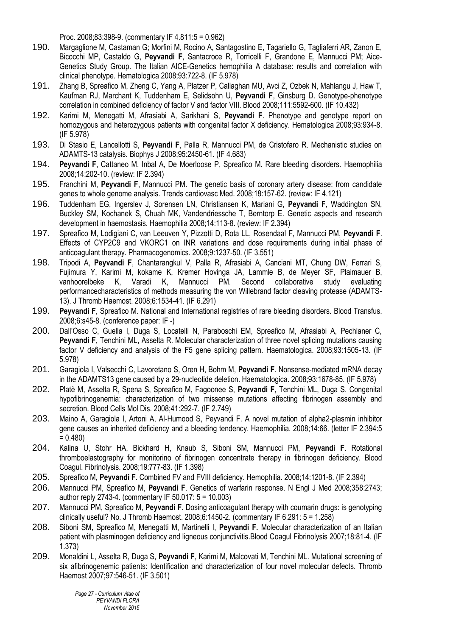Proc. 2008;83:398-9. (commentary IF 4.811:5 = 0.962)

- 190. Margaglione M, Castaman G; Morfini M, Rocino A, Santagostino E, Tagariello G, Tagliaferri AR, Zanon E, Bicocchi MP, Castaldo G, **Peyvandi F**, Santacroce R, Torricelli F, Grandone E, Mannucci PM; Aice-Genetics Study Group. The Italian AICE-Genetics hemophilia A database: results and correlation with clinical phenotype. Hematologica 2008;93:722-8. (IF 5.978)
- 191. Zhang B, Spreafico M, Zheng C, Yang A, Platzer P, Callaghan MU, Avci Z, Ozbek N, Mahlangu J, Haw T, Kaufman RJ, Marchant K, Tuddenham E, Selidsohn U, **Peyvandi F**, Ginsburg D. Genotype-phenotype correlation in combined deficiency of factor V and factor VIII. Blood 2008;111:5592-600. (IF 10.432)
- 192. Karimi M, Menegatti M, Afrasiabi A, Sarikhani S, **Peyvandi F**. Phenotype and genotype report on homozygous and heterozygous patients with congenital factor X deficiency. Hematologica 2008;93:934-8. (IF 5.978)
- 193. Di Stasio E, Lancellotti S, **Peyvandi F**, Palla R, Mannucci PM, de Cristofaro R. Mechanistic studies on ADAMTS-13 catalysis. Biophys J 2008;95:2450-61. (IF 4.683)
- 194. **Peyvandi F**, Cattaneo M, Inbal A, De Moerloose P, Spreafico M. Rare bleeding disorders. Haemophilia 2008;14:202-10. (review: IF 2.394)
- 195. Franchini M, **Peyvandi F**, Mannucci PM. The genetic basis of coronary artery disease: from candidate genes to whole genome analysis. Trends cardiovasc Med. 2008;18:157-62. (review: IF 4.121)
- 196. Tuddenham EG, Ingerslev J, Sorensen LN, Christiansen K, Mariani G, **Peyvandi F**, Waddington SN, Buckley SM, Kochanek S, Chuah MK, Vandendriessche T, Berntorp E. Genetic aspects and research development in haemostasis. Haemophilia 2008;14:113-8. (review: IF 2.394)
- 197. Spreafico M, Lodigiani C, van Leeuven Y, Pizzotti D, Rota LL, Rosendaal F, Mannucci PM, **Peyvandi F**. Effects of CYP2C9 and VKORC1 on INR variations and dose requirements during initial phase of anticoagulant therapy. Pharmacogenomics. 2008;9:1237-50. (IF 3.551)
- 198. Tripodi A, **Peyvandi F**, Chantarangkul V, Palla R, Afrasiabi A, Canciani MT, Chung DW, Ferrari S, Fujimura Y, Karimi M, kokame K, Kremer Hovinga JA, Lammle B, de Meyer SF, Plaimauer B, vanhoorelbeke K, Varadi K, Mannucci PM. Second collaborative study evaluating performancecharacteristics of methods measuring the von Willebrand factor cleaving protease (ADAMTS-13). J Thromb Haemost. 2008;6:1534-41. (IF 6.291)
- 199. **Peyvandi F**, Spreafico M. National and International registries of rare bleeding disorders. Blood Transfus. 2008;6:s45-8. (conference paper: IF -)
- 200. Dall'Osso C, Guella I, Duga S, Locatelli N, Paraboschi EM, Spreafico M, Afrasiabi A, Pechlaner C, **Peyvandi F**, Tenchini ML, Asselta R. Molecular characterization of three novel splicing mutations causing factor V deficiency and analysis of the F5 gene splicing pattern. Haematologica. 2008;93:1505-13. (IF 5.978)
- 201. Garagiola I, Valsecchi C, Lavoretano S, Oren H, Bohm M, **Peyvandi F**. Nonsense-mediated mRNA decay in the ADAMTS13 gene caused by a 29-nucleotide deletion. Haematologica. 2008;93:1678-85. (IF 5.978)
- 202. Platè M, Asselta R, Spena S, Spreafico M, Fagoonee S, **Peyvandi F**, Tenchini ML, Duga S. Congenital hypofibrinogenemia: characterization of two missense mutations affecting fibrinogen assembly and secretion. Blood Cells Mol Dis. 2008;41:292-7. (IF 2.749)
- 203. Maino A, Garagiola I, Artoni A, Al-Humood S, Peyvandi F. A novel mutation of alpha2-plasmin inhibitor gene causes an inherited deficiency and a bleeding tendency. Haemophilia. 2008;14:66. (letter IF 2.394:5  $= 0.480$
- 204. Kalina U, Stohr HA, Bickhard H, Knaub S, Siboni SM, Mannucci PM, **Peyvandi F**. Rotational thromboelastography for monitorino of fibrinogen concentrate therapy in fibrinogen deficiency. Blood Coagul. Fibrinolysis. 2008;19:777-83. (IF 1.398)
- 205. Spreafico M**, Peyvandi F**. Combined FV and FVIII deficiency. Hemophilia. 2008;14:1201-8. (IF 2.394)
- 206. Mannucci PM, Spreafico M, **Peyvandi F**. Genetics of warfarin response. N Engl J Med 2008;358:2743; author reply 2743-4. (commentary IF 50.017: 5 = 10.003)
- 207. Mannucci PM, Spreafico M, **Peyvandi F**. Dosing anticoagulant therapy with coumarin drugs: is genotyping clinically useful? No. J Thromb Haemost. 2008;6:1450-2. (commentary IF 6.291: 5 = 1.258)
- 208. Siboni SM, Spreafico M, Menegatti M, Martinelli I, **Peyvandi F.** Molecular characterization of an Italian patient with plasminogen deficiency and ligneous conjunctivitis.Blood Coagul Fibrinolysis 2007;18:81-4. (IF 1.373)
- 209. Monaldini L, Asselta R, Duga S, **Peyvandi F**, Karimi M, Malcovati M, Tenchini ML. Mutational screening of six afibrinogenemic patients: Identification and characterization of four novel molecular defects. Thromb Haemost 2007;97:546-51. (IF 3.501)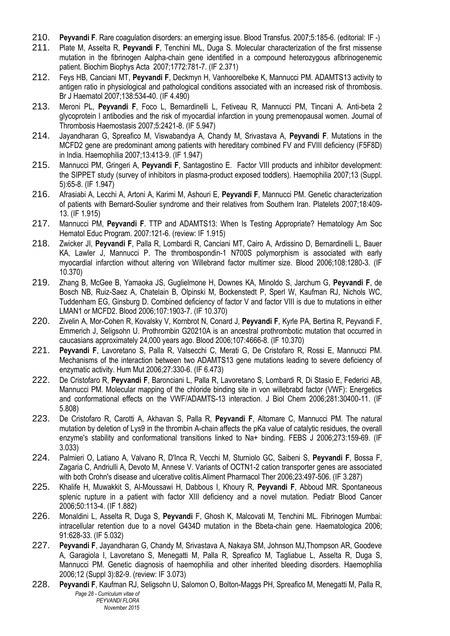- 210. **Peyvandi F**. Rare coagulation disorders: an emerging issue. Blood Transfus. 2007;5:185-6. (editorial: IF -)
- 211. Plate M, Asselta R, **Peyvandi F**, Tenchini ML, Duga S. Molecular characterization of the first missense mutation in the fibrinogen Aalpha-chain gene identified in a compound heterozygous afibrinogenemic patient. Biochim Biophys Acta 2007;1772:781-7. (IF 2.371)
- 212. Feys HB, Canciani MT, **Peyvandi F**, Deckmyn H, Vanhoorelbeke K, Mannucci PM. ADAMTS13 activity to antigen ratio in physiological and pathological conditions associated with an increased risk of thrombosis. Br J Haematol 2007;138:534-40. (IF 4.490)
- 213. Meroni PL, **Peyvandi F**, Foco L, Bernardinelli L, Fetiveau R, Mannucci PM, Tincani A. Anti-beta 2 glycoprotein I antibodies and the risk of myocardial infarction in young premenopausal women. Journal of Thrombosis Haemostasis 2007;5:2421-8. (IF 5.947)
- 214. Jayandharan G, Spreafico M, Viswabandya A, Chandy M, Srivastava A, **Peyvandi F**. Mutations in the MCFD2 gene are predominant among patients with hereditary combined FV and FVIII deficiency (F5F8D) in India. Haemophilia 2007;13:413-9. (IF 1.947)
- 215. Mannucci PM, Gringeri A, **Peyvandi F**, Santagostino E. Factor VIII products and inhibitor development: the SIPPET study (survey of inhibitors in plasma-product exposed toddlers). Haemophilia 2007;13 (Suppl. 5):65-8. (IF 1.947)
- 216. Afrasiabi A, Lecchi A, Artoni A, Karimi M, Ashouri E, **Peyvandi F**, Mannucci PM. Genetic characterization of patients with Bernard-Soulier syndrome and their relatives from Southern Iran. Platelets 2007;18:409- 13. (IF 1.915)
- 217. Mannucci PM, **Peyvandi F**. TTP and ADAMTS13: When Is Testing Appropriate? Hematology Am Soc Hematol Educ Program. 2007:121-6. (review: IF 1.915)
- 218. Zwicker JI, **Peyvandi F**, Palla R, Lombardi R, Canciani MT, Cairo A, Ardissino D, Bernardinelli L, Bauer KA, Lawler J, Mannucci P. The thrombospondin-1 N700S polymorphism is associated with early myocardial infarction without altering von Willebrand factor multimer size. Blood 2006;108:1280-3. (IF 10.370)
- 219. Zhang B, McGee B, Yamaoka JS, Guglielmone H, Downes KA, Minoldo S, Jarchum G, **Peyvandi F**, de Bosch NB, Ruiz-Saez A, Chatelain B, Olpinski M, Bockenstedt P, Sperl W, Kaufman RJ, Nichols WC, Tuddenham EG, Ginsburg D. Combined deficiency of factor V and factor VIII is due to mutations in either LMAN1 or MCFD2. Blood 2006;107:1903-7. (IF 10.370)
- 220. Zivelin A, Mor-Cohen R, Kovalsky V, Kornbrot N, Conard J, **Peyvandi F**, Kyrle PA, Bertina R, Peyvandi F, Emmerich J, Seligsohn U. Prothrombin G20210A is an ancestral prothrombotic mutation that occurred in caucasians approximately 24,000 years ago. Blood 2006;107:4666-8. (IF 10.370)
- 221. **Peyvandi F**, Lavoretano S, Palla R, Valsecchi C, Merati G, De Cristofaro R, Rossi E, Mannucci PM. Mechanisms of the interaction between two ADAMTS13 gene mutations leading to severe deficiency of enzymatic activity. Hum Mut 2006;27:330-6. (IF 6.473)
- 222. De Cristofaro R, **Peyvandi F**, Baronciani L, Palla R, Lavoretano S, Lombardi R, Di Stasio E, Federici AB, Mannucci PM. Molecular mapping of the chloride binding site in von willebrabd factor (VWF): Energetics and conformational effects on the VWF/ADAMTS-13 interaction. J Biol Chem 2006;281:30400-11. (IF 5.808)
- 223. De Cristofaro R, Carotti A, Akhavan S, Palla R, **Peyvandi F**, Altomare C, Mannucci PM. The natural mutation by deletion of Lys9 in the thrombin A-chain affects the pKa value of catalytic residues, the overall enzyme's stability and conformational transitions linked to Na+ binding. FEBS J 2006;273:159-69. (IF 3.033)
- 224. Palmieri O, Latiano A, Valvano R, D'Inca R, Vecchi M, Sturniolo GC, Saibeni S, **Peyvandi F**, Bossa F, Zagaria C, Andriulli A, Devoto M, Annese V. Variants of OCTN1-2 cation transporter genes are associated with both Crohn's disease and ulcerative colitis.Aliment Pharmacol Ther 2006;23:497-506. (IF 3.287)
- 225. Khalife H, Muwakkit S, Al-Moussawi H, Dabbous I, Khoury R, **Peyvandi F**, Abboud MR. Spontaneous splenic rupture in a patient with factor XIII deficiency and a novel mutation. Pediatr Blood Cancer 2006;50:113-4. (IF 1.882)
- 226. Monaldini L, Asselta R, Duga S, **Peyvandi** F, Ghosh K, Malcovati M, Tenchini ML. Fibrinogen Mumbai: intracellular retention due to a novel G434D mutation in the Bbeta-chain gene. Haematologica 2006; 91:628-33. (IF 5.032)
- 227. **Peyvandi F**, Jayandharan G, Chandy M, Srivastava A, Nakaya SM, Johnson MJ,Thompson AR, Goodeve A, Garagiola I, Lavoretano S, Menegatti M, Palla R, Spreafico M, Tagliabue L, Asselta R, Duga S, Mannucci PM. Genetic diagnosis of haemophilia and other inherited bleeding disorders. Haemophilia 2006;12 (Suppl 3):82-9. (review: IF 3.073)
- *Page 28 - Curriculum vitae of PEYVANDI FLORA* 228. **Peyvandi F**, Kaufman RJ, Seligsohn U, Salomon O, Bolton-Maggs PH, Spreafico M, Menegatti M, Palla R,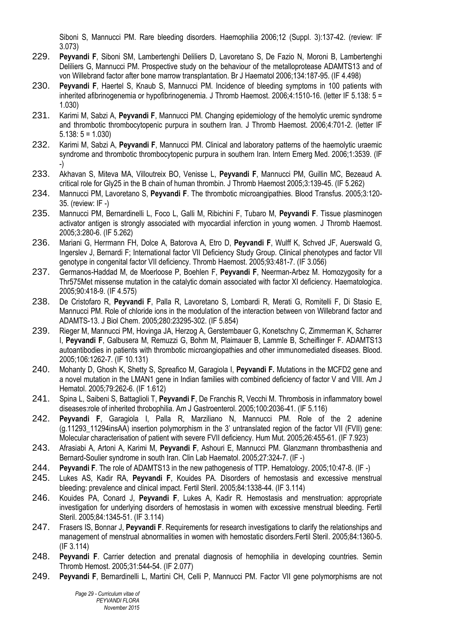Siboni S, Mannucci PM. Rare bleeding disorders. Haemophilia 2006;12 (Suppl. 3):137-42. (review: IF 3.073)

- 229. **Peyvandi F**, Siboni SM, Lambertenghi Deliliers D, Lavoretano S, De Fazio N, Moroni B, Lambertenghi Deliliers G, Mannucci PM. Prospective study on the behaviour of the metalloprotease ADAMTS13 and of von Willebrand factor after bone marrow transplantation. Br J Haematol 2006;134:187-95. (IF 4.498)
- 230. **Peyvandi F**, Haertel S, Knaub S, Mannucci PM. Incidence of bleeding symptoms in 100 patients with inherited afibrinogenemia or hypofibrinogenemia. J Thromb Haemost. 2006;4:1510-16. (letter IF 5.138: 5 = 1.030)
- 231. Karimi M, Sabzi A, **Peyvandi F**, Mannucci PM. Changing epidemiology of the hemolytic uremic syndrome and thrombotic thrombocytopenic purpura in southern Iran. J Thromb Haemost. 2006;4:701-2. (letter IF  $5.138: 5 = 1.030$
- 232. Karimi M, Sabzi A, **Peyvandi F**, Mannucci PM. Clinical and laboratory patterns of the haemolytic uraemic syndrome and thrombotic thrombocytopenic purpura in southern Iran. Intern Emerg Med. 2006;1:3539. (IF -)
- 233. Akhavan S, Miteva MA, Villoutreix BO, Venisse L, **Peyvandi F**, Mannucci PM, Guillin MC, Bezeaud A. critical role for Gly25 in the B chain of human thrombin. J Thromb Haemost 2005;3:139-45. (IF 5.262)
- 234. Mannucci PM, Lavoretano S, **Peyvandi F**. The thrombotic microangipathies. Blood Transfus. 2005;3:120- 35. (review: IF -)
- 235. Mannucci PM, Bernardinelli L, Foco L, Galli M, Ribichini F, Tubaro M, **Peyvandi F**. Tissue plasminogen activator antigen is strongly associated with myocardial inferction in young women. J Thromb Haemost. 2005;3:280-6. (IF 5.262)
- 236. Mariani G, Herrmann FH, Dolce A, Batorova A, Etro D, **Peyvandi F**, Wulff K, Schved JF, Auerswald G, Ingerslev J, Bernardi F; International factor VII Deficiency Study Group. Clinical phenotypes and factor VII genotype in congenital factor VII deficiency. Thromb Haemost. 2005;93:481-7. (IF 3.056)
- 237. Germanos-Haddad M, de Moerloose P, Boehlen F, **Peyvandi F**, Neerman-Arbez M. Homozygosity for a Thr575Met missense mutation in the catalytic domain associated with factor XI deficiency. Haematologica. 2005;90:418-9. (IF 4.575)
- 238. De Cristofaro R, **Peyvandi F**, Palla R, Lavoretano S, Lombardi R, Merati G, Romitelli F, Di Stasio E, Mannucci PM. Role of chloride ions in the modulation of the interaction between von Willebrand factor and ADAMTS-13. J Biol Chem. 2005;280:23295-302. (IF 5.854)
- 239. Rieger M, Mannucci PM, Hovinga JA, Herzog A, Gerstembauer G, Konetschny C, Zimmerman K, Scharrer I, **Peyvandi F**, Galbusera M, Remuzzi G, Bohm M, Plaimauer B, Lammle B, Scheiflinger F. ADAMTS13 autoantibodies in patients with thrombotic microangiopathies and other immunomediated diseases. Blood. 2005;106:1262-7. (IF 10.131)
- 240. Mohanty D, Ghosh K, Shetty S, Spreafico M, Garagiola I, **Peyvandi F.** Mutations in the MCFD2 gene and a novel mutation in the LMAN1 gene in Indian families with combined deficiency of factor V and VIII. Am J Hematol. 2005;79:262-6. (IF 1.612)
- 241. Spina L, Saibeni S, Battaglioli T, **Peyvandi F**, De Franchis R, Vecchi M. Thrombosis in inflammatory bowel diseases:role of inherited throbophilia. Am J Gastroenterol. 2005;100:2036-41. (IF 5.116)
- 242. **Peyvandi F**, Garagiola I, Palla R, Marziliano N, Mannucci PM. Role of the 2 adenine (g.11293\_11294insAA) insertion polymorphism in the 3' untranslated region of the factor VII (FVII) gene: Molecular characterisation of patient with severe FVII deficiency. Hum Mut. 2005;26:455-61. (IF 7.923)
- 243. Afrasiabi A, Artoni A, Karimi M, **Peyvandi F**, Ashouri E, Mannucci PM. Glanzmann thrombasthenia and Bernard-Soulier syndrome in south Iran. Clin Lab Haematol. 2005;27:324-7. (IF -)
- 244. **Peyvandi F**. The role of ADAMTS13 in the new pathogenesis of TTP. Hematology. 2005;10:47-8. (IF -)
- 245. Lukes AS, Kadir RA, **Peyvandi F**, Kouides PA. Disorders of hemostasis and excessive menstrual bleeding: prevalence and clinical impact. Fertil Steril. 2005;84:1338-44. (IF 3.114)
- 246. Kouides PA, Conard J, **Peyvandi F**, Lukes A, Kadir R. Hemostasis and menstruation: appropriate investigation for underlying disorders of hemostasis in women with excessive menstrual bleeding. Fertil Steril. 2005;84:1345-51. (IF 3.114)
- 247. Frasers IS, Bonnar J, **Peyvandi F**. Requirements for research investigations to clarify the relationships and management of menstrual abnormalities in women with hemostatic disorders.Fertil Steril. 2005;84:1360-5. (IF 3.114)
- 248. **Peyvandi F**. Carrier detection and prenatal diagnosis of hemophilia in developing countries. Semin Thromb Hemost. 2005;31:544-54. (IF 2.077)
- 249. **Peyvandi F**, Bernardinelli L, Martini CH, Celli P, Mannucci PM. Factor VII gene polymorphisms are not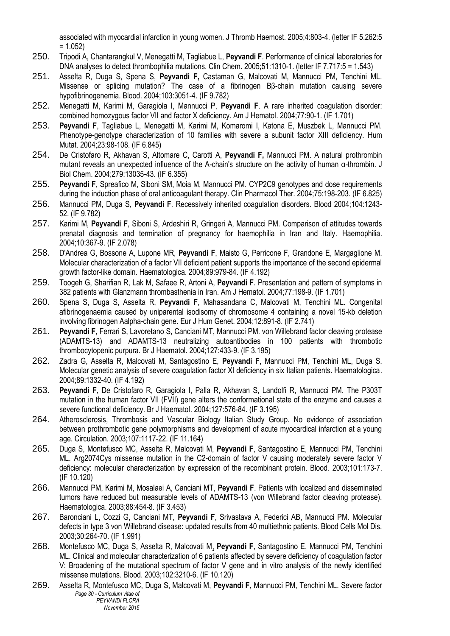associated with myocardial infarction in young women. J Thromb Haemost. 2005;4:803-4. (letter IF 5.262:5  $= 1.052$ 

- 250. Tripodi A, Chantarangkul V, Menegatti M, Tagliabue L, **Peyvandi F**. Performance of clinical laboratories for DNA analyses to detect thrombophilia mutations. Clin Chem. 2005;51:1310-1. (letter IF 7.717:5 = 1.543)
- 251. Asselta R, Duga S, Spena S, **Peyvandi F,** Castaman G, Malcovati M, Mannucci PM, Tenchini ML. Missense or splicing mutation? The case of a fibrinogen Bβ-chain mutation causing severe hypofibrinogenemia. Blood. 2004;103:3051-4. (IF 9.782)
- 252. Menegatti M, Karimi M, Garagiola I, Mannucci P, **Peyvandi F**. A rare inherited coagulation disorder: combined homozygous factor VII and factor X deficiency. Am J Hematol. 2004;77:90-1. (IF 1.701)
- 253. **Peyvandi F**, Tagliabue L, Menegatti M, Karimi M, Komaromi I, Katona E, Muszbek L, Mannucci PM. Phenotype-genotype characterization of 10 families with severe a subunit factor XIII deficiency. Hum Mutat. 2004;23:98-108. (IF 6.845)
- 254. De Cristofaro R, Akhavan S, Altomare C, Carotti A, **Peyvandi F,** Mannucci PM. A natural prothrombin mutant reveals an unexpected influence of the A-chain's structure on the activity of human α-thrombin. J Biol Chem. 2004;279:13035-43. (IF 6.355)
- 255. **Peyvandi F**, Spreafico M, Siboni SM, Moia M, Mannucci PM. CYP2C9 genotypes and dose requirements during the induction phase of oral anticoagulant therapy. Clin Pharmacol Ther. 2004;75:198-203. (IF 6.825)
- 256. Mannucci PM, Duga S, **Peyvandi F**. Recessively inherited coagulation disorders. Blood 2004;104:1243- 52. (IF 9.782)
- 257. Karimi M, **Peyvandi F**, Siboni S, Ardeshiri R, Gringeri A, Mannucci PM. Comparison of attitudes towards prenatal diagnosis and termination of pregnancy for haemophilia in Iran and Italy. Haemophilia. 2004;10:367-9. (IF 2.078)
- 258. D'Andrea G, Bossone A, Lupone MR, **Peyvandi F**, Maisto G, Perricone F, Grandone E, Margaglione M. Molecular characterization of a factor VII deficient patient supports the importance of the second epidermal growth factor-like domain. Haematologica. 2004;89:979-84. (IF 4.192)
- 259. Toogeh G, Sharifian R, Lak M, Safaee R, Artoni A, **Peyvandi F**. Presentation and pattern of symptoms in 382 patients with Glanzmann thrombasthenia in Iran. Am J Hematol. 2004;77:198-9. (IF 1.701)
- 260. Spena S, Duga S, Asselta R, **Peyvandi F**, Mahasandana C, Malcovati M, Tenchini ML. Congenital afibrinogenaemia caused by uniparental isodisomy of chromosome 4 containing a novel 15-kb deletion involving fibrinogen Aalpha-chain gene. Eur J Hum Genet. 2004;12:891-8. (IF 2.741)
- 261. **Peyvandi F**, Ferrari S, Lavoretano S, Canciani MT, Mannucci PM. von Willebrand factor cleaving protease (ADAMTS-13) and ADAMTS-13 neutralizing autoantibodies in 100 patients with thrombotic thrombocytopenic purpura. Br J Haematol. 2004;127:433-9. (IF 3.195)
- 262. Zadra G, Asselta R, Malcovati M, Santagostino E, **Peyvandi F**, Mannucci PM, Tenchini ML, Duga S. Molecular genetic analysis of severe coagulation factor XI deficiency in six Italian patients. Haematologica. 2004;89:1332-40. (IF 4.192)
- 263. **Peyvandi F**, De Cristofaro R, Garagiola I, Palla R, Akhavan S, Landolfi R, Mannucci PM. The P303T mutation in the human factor VII (FVII) gene alters the conformational state of the enzyme and causes a severe functional deficiency. Br J Haematol. 2004;127:576-84. (IF 3.195)
- 264. Atherosclerosis, Thrombosis and Vascular Biology Italian Study Group. No evidence of association between prothrombotic gene polymorphisms and development of acute myocardical infarction at a young age. Circulation. 2003;107:1117-22. (IF 11.164)
- 265. Duga S, Montefusco MC, Asselta R, Malcovati M, **Peyvandi F**, Santagostino E, Mannucci PM, Tenchini ML. Arg2074Cys missense mutation in the C2-domain of factor V causing moderately severe factor V deficiency: molecular characterization by expression of the recombinant protein. Blood. 2003;101:173-7. (IF 10.120)
- 266. Mannucci PM, Karimi M, Mosalaei A, Canciani MT, **Peyvandi F**. Patients with localized and disseminated tumors have reduced but measurable levels of ADAMTS-13 (von Willebrand factor cleaving protease). Haematologica. 2003;88:454-8. (IF 3.453)
- 267. Baronciani L, Cozzi G, Canciani MT, **Peyvandi F**, Srivastava A, Federici AB, Mannucci PM. Molecular defects in type 3 von Willebrand disease: updated results from 40 multiethnic patients. Blood Cells Mol Dis. 2003;30:264-70. (IF 1.991)
- 268. Montefusco MC, Duga S, Asselta R, Malcovati M, **Peyvandi F**, Santagostino E, Mannucci PM, Tenchini ML. Clinical and molecular characterization of 6 patients affected by severe deficiency of coagulation factor V: Broadening of the mutational spectrum of factor V gene and in vitro analysis of the newly identified missense mutations. Blood. 2003;102:3210-6. (IF 10.120)
- *Page 30 - Curriculum vitae of PEYVANDI FLORA* 269. Asselta R, Montefusco MC, Duga S, Malcovati M, **Peyvandi F**, Mannucci PM, Tenchini ML. Severe factor

*November 2015*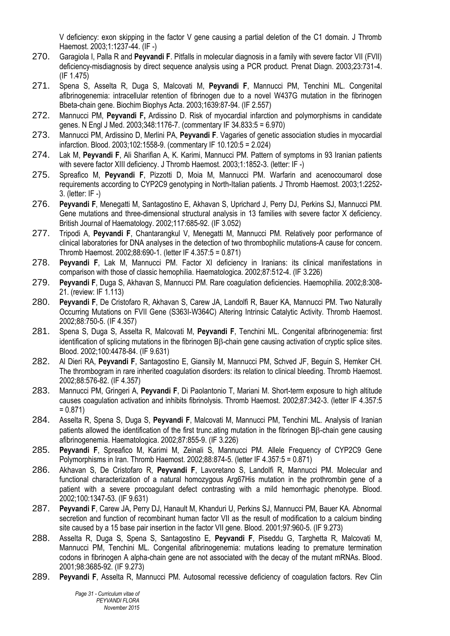V deficiency: exon skipping in the factor V gene causing a partial deletion of the C1 domain. J Thromb Haemost. 2003;1:1237-44. (IF -)

- 270. Garagiola I, Palla R and **Peyvandi F**. Pitfalls in molecular diagnosis in a family with severe factor VII (FVII) deficiency-misdiagnosis by direct sequence analysis using a PCR product. Prenat Diagn. 2003;23:731-4. (IF 1.475)
- 271. Spena S, Asselta R, Duga S, Malcovati M, **Peyvandi F**, Mannucci PM, Tenchini ML. Congenital afibrinogenemia: intracellular retention of fibrinogen due to a novel W437G mutation in the fibrinogen Bbeta-chain gene. Biochim Biophys Acta. 2003;1639:87-94. (IF 2.557)
- 272. Mannucci PM, **Peyvandi F,** Ardissino D. Risk of myocardial infarction and polymorphisms in candidate genes. N Engl J Med. 2003;348:1176-7. (commentary IF 34.833:5 = 6.970)
- 273. Mannucci PM, Ardissino D, Merlini PA, **Peyvandi F**. Vagaries of genetic association studies in myocardial infarction. Blood. 2003;102:1558-9. (commentary IF 10.120:5 = 2.024)
- 274. Lak M, **Peyvandi F**, Ali Sharifian A, K. Karimi, Mannucci PM. Pattern of symptoms in 93 Iranian patients with severe factor XIII deficiency. J Thromb Haemost. 2003;1:1852-3. (letter: IF -)
- 275. Spreafico M, **Peyvandi F**, Pizzotti D, Moia M, Mannucci PM. Warfarin and acenocoumarol dose requirements according to CYP2C9 genotyping in North-Italian patients. J Thromb Haemost. 2003;1:2252- 3. (letter: IF -)
- 276. **Peyvandi F**, Menegatti M, Santagostino E, Akhavan S, Uprichard J, Perry DJ, Perkins SJ, Mannucci PM. Gene mutations and three-dimensional structural analysis in 13 families with severe factor X deficiency. British Journal of Haematology. 2002;117:685-92. (IF 3.052)
- 277. Tripodi A, **Peyvandi F**, Chantarangkul V, Menegatti M, Mannucci PM. Relatively poor performance of clinical laboratories for DNA analyses in the detection of two thrombophilic mutations-A cause for concern. Thromb Haemost. 2002;88:690-1. (letter IF 4.357:5 = 0.871)
- 278. **Peyvandi F**, Lak M, Mannucci PM. Factor XI deficiency in Iranians: its clinical manifestations in comparison with those of classic hemophilia. Haematologica. 2002;87:512-4. (IF 3.226)
- 279. **Peyvandi F**, Duga S, Akhavan S, Mannucci PM. Rare coagulation deficiencies. Haemophilia. 2002;8:308- 21. (review: IF 1.113)
- 280. **Peyvandi F**, De Cristofaro R, Akhavan S, Carew JA, Landolfi R, Bauer KA, Mannucci PM. Two Naturally Occurring Mutations on FVII Gene (S363I-W364C) Altering Intrinsic Catalytic Activity. Thromb Haemost. 2002;88:750-5. (IF 4.357)
- 281. Spena S, Duga S, Asselta R, Malcovati M, **Peyvandi F**, Tenchini ML. Congenital afibrinogenemia: first identification of splicing mutations in the fibrinogen  $B\beta$ -chain gene causing activation of cryptic splice sites. Blood. 2002;100:4478-84. (IF 9.631)
- 282. Al Dieri RA, **Peyvandi F**, Santagostino E, Giansily M, Mannucci PM, Schved JF, Beguin S, Hemker CH. The thrombogram in rare inherited coagulation disorders: its relation to clinical bleeding. Thromb Haemost. 2002;88:576-82. (IF 4.357)
- 283. Mannucci PM, Gringeri A, **Peyvandi F**, Di Paolantonio T, Mariani M. Short-term exposure to high altitude causes coagulation activation and inhibits fibrinolysis. Thromb Haemost. 2002;87:342-3. (letter IF 4.357:5  $= 0.871$
- 284. Asselta R, Spena S, Duga S, **Peyvandi F**, Malcovati M, Mannucci PM, Tenchini ML. Analysis of Iranian patients allowed the identification of the first trunc.ating mutation in the fibrinogen BB-chain gene causing afibrinogenemia. Haematologica. 2002;87:855-9. (IF 3.226)
- 285. **Peyvandi F**, Spreafico M, Karimi M, Zeinali S, Mannucci PM. Allele Frequency of CYP2C9 Gene Polymorphisms in Iran. Thromb Haemost. 2002;88:874-5. (letter IF 4.357:5 = 0.871)
- 286. Akhavan S, De Cristofaro R, **Peyvandi F**, Lavoretano S, Landolfi R, Mannucci PM. Molecular and functional characterization of a natural homozygous Arg67His mutation in the prothrombin gene of a patient with a severe procoagulant defect contrasting with a mild hemorrhagic phenotype. Blood. 2002;100:1347-53. (IF 9.631)
- 287. **Peyvandi F**, Carew JA, Perry DJ, Hanault M, Khanduri U, Perkins SJ, Mannucci PM, Bauer KA. Abnormal secretion and function of recombinant human factor VII as the result of modification to a calcium binding site caused by a 15 base pair insertion in the factor VII gene. Blood. 2001;97:960-5. (IF 9.273)
- 288. Asselta R, Duga S, Spena S, Santagostino E, **Peyvandi F**, Piseddu G, Targhetta R, Malcovati M, Mannucci PM, Tenchini ML. Congenital afibrinogenemia: mutations leading to premature termination codons in fibrinogen A alpha-chain gene are not associated with the decay of the mutant mRNAs. Blood. 2001;98:3685-92. (IF 9.273)
- 289. **Peyvandi F**, Asselta R, Mannucci PM. Autosomal recessive deficiency of coagulation factors. Rev Clin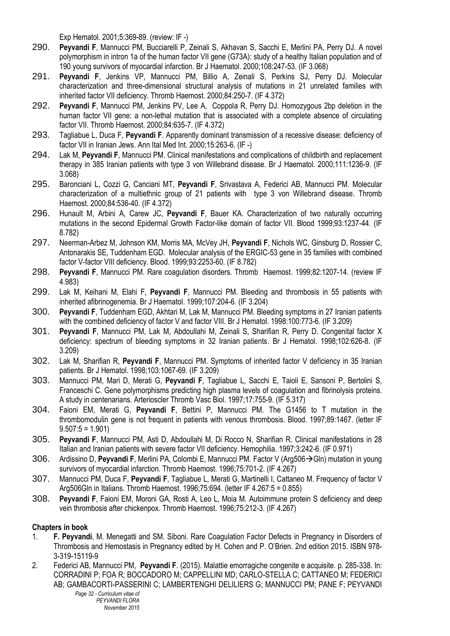Exp Hematol. 2001;5:369-89. (review: IF -)

- 290. **Peyvandi F**, Mannucci PM, Bucciarelli P, Zeinali S, Akhavan S, Sacchi E, Merlini PA, Perry DJ. A novel polymorphism in intron 1a of the human factor VII gene (G73A): study of a healthy Italian population and of 190 young survivors of myocardial infarction. Br J Haematol. 2000;108:247-53. (IF 3.068)
- 291. **Peyvandi F**, Jenkins VP, Mannucci PM, Billio A, Zeinali S, Perkins SJ, Perry DJ. Molecular characterization and three-dimensional structural analysis of mutations in 21 unrelated families with inherited factor VII deficiency. Thromb Haemost. 2000;84:250-7. (IF 4.372)
- 292. **Peyvandi F**, Mannucci PM, Jenkins PV, Lee A, Coppola R, Perry DJ. Homozygous 2bp deletion in the human factor VII gene: a non-lethal mutation that is associated with a complete absence of circulating factor VII. Thromb Haemost. 2000;84:635-7. (IF 4.372)
- 293. Tagliabue L, Duca F, **Peyvandi F**. Apparently dominant transmission of a recessive disease: deficiency of factor VII in Iranian Jews. Ann Ital Med Int. 2000;15:263-6. (IF -)
- 294. Lak M, **Peyvandi F**, Mannucci PM. Clinical manifestations and complications of childbirth and replacement therapy in 385 Iranian patients with type 3 von Willebrand disease. Br J Haematol. 2000;111:1236-9. (IF 3.068)
- 295. Baronciani L, Cozzi G, Canciani MT, **Peyvandi F**, Srivastava A, Federici AB, Mannucci PM. Molecular characterization of a multiethnic group of 21 patients with type 3 von Willebrand disease. Thromb Haemost. 2000;84:536-40. (IF 4.372)
- 296. Hunault M, Arbini A, Carew JC, **Peyvandi F**, Bauer KA. Characterization of two naturally occurring mutations in the second Epidermal Growth Factor-like domain of factor VII. Blood 1999;93:1237-44. (IF 8.782)
- 297. Neerman-Arbez M, Johnson KM, Morris MA, McVey JH, **Peyvandi F**, Nichols WC, Ginsburg D, Rossier C, Antonarakis SE, Tuddenham EGD. Molecular analysis of the ERGIC-53 gene in 35 families with combined factor V-factor VIII deficiency. Blood. 1999;93:2253-60. (IF 8.782)
- 298. **Peyvandi F**, Mannucci PM. Rare coagulation disorders. Thromb Haemost. 1999;82:1207-14. (review IF 4.983)
- 299. Lak M, Keihani M, Elahi F, **Peyvandi F**, Mannucci PM. Bleeding and thrombosis in 55 patients with inherited afibrinogenemia. Br J Haematol. 1999;107:204-6. (IF 3.204)
- 300. **Peyvandi F**, Tuddenham EGD, Akhtari M, Lak M, Mannucci PM. Bleeding symptoms in 27 Iranian patients with the combined deficiency of factor V and factor VIII. Br J Hematol. 1998:100:773-6. (IF 3.209)
- 301. **Peyvandi F**, Mannucci PM, Lak M, Abdoullahi M, Zeinali S, Sharifian R, Perry D. Congenital factor X deficiency: spectrum of bleeding symptoms in 32 Iranian patients. Br J Hematol. 1998;102:626-8. (IF 3.209)
- 302. Lak M, Sharifian R, **Peyvandi F**, Mannucci PM. Symptoms of inherited factor V deficiency in 35 Iranian patients. Br J Hematol. 1998;103:1067-69. (IF 3.209)
- 303. Mannucci PM, Mari D, Merati G, **Peyvandi F**, Tagliabue L, Sacchi E, Taioli E, Sansoni P, Bertolini S, Franceschi C. Gene polymorphisms predicting high plasma levels of coagulation and fibrinolysis proteins. A study in centenarians. Arterioscler Thromb Vasc Biol. 1997;17:755-9. (IF 5.317)
- 304. Faioni EM, Merati G, **Peyvandi F**, Bettini P, Mannucci PM. The G1456 to T mutation in the thrombomodulin gene is not frequent in patients with venous thrombosis. Blood. 1997;89:1467. (letter IF  $9.507:5 = 1.901$
- 305. **Peyvandi F**, Mannucci PM, Asti D, Abdoullahi M, Di Rocco N, Sharifian R. Clinical manifestations in 28 Italian and Iranian patients with severe factor VII deficiency. Hemophilia. 1997;3:242-6. (IF 0.971)
- 306. Ardissino D, Peyvandi F, Merlini PA, Colombi E, Mannucci PM. Factor V (Arg506  $\rightarrow$  Gln) mutation in young survivors of myocardial infarction. Thromb Haemost. 1996;75:701-2. (IF 4.267)
- 307. Mannucci PM, Duca F, **Peyvandi F**, Tagliabue L, Merati G, Martinelli I, Cattaneo M. Frequency of factor V Arg506Gln in Italians. Thromb Haemost. 1996;75:694. (letter IF 4.267:5 = 0.855)
- 308. **Peyvandi F**, Faioni EM, Moroni GA, Rosti A, Leo L, Moia M. Autoimmune protein S deficiency and deep vein thrombosis after chickenpox. Thromb Haemost. 1996;75:212-3. (IF 4.267)

## **Chapters in book**

- 1. **F. Peyvandi**, M. Menegatti and SM. Siboni. Rare Coagulation Factor Defects in Pregnancy in Disorders of Thrombosis and Hemostasis in Pregnancy edited by H. Cohen and P. O'Brien. 2nd edition 2015. ISBN 978- 3-319-15119-9
- 2. Federici AB, Mannucci PM, **Peyvandi F**. (2015). Malattie emorragiche congenite e acquisite. p. 285-338. In: CORRADINI P; FOA R; BOCCADORO M; CAPPELLINI MD; CARLO-STELLA C; CATTANEO M; FEDERICI AB; GAMBACORTI-PASSERINI C; LAMBERTENGHI DELILIERS G; MANNUCCI PM; PANE F; PEYVANDI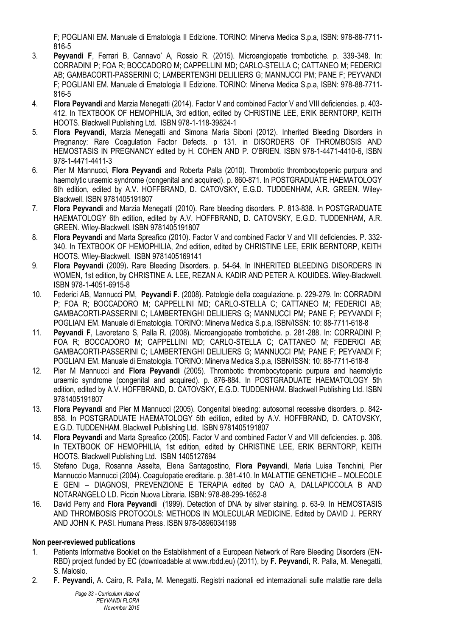F; POGLIANI EM. Manuale di Ematologia II Edizione. TORINO: Minerva Medica S.p.a, ISBN: 978-88-7711- 816-5

- 3. **Peyvandi F**, Ferrari B, Cannavo' A, Rossio R. (2015). Microangiopatie trombotiche. p. 339-348. In: CORRADINI P; FOA R; BOCCADORO M; CAPPELLINI MD; CARLO-STELLA C; CATTANEO M; FEDERICI AB; GAMBACORTI-PASSERINI C; LAMBERTENGHI DELILIERS G; MANNUCCI PM; PANE F; PEYVANDI F; POGLIANI EM. Manuale di Ematologia II Edizione. TORINO: Minerva Medica S.p.a, ISBN: 978-88-7711- 816-5
- 4. **Flora Peyvandi** and Marzia Menegatti (2014). Factor V and combined Factor V and VIII deficiencies. p. 403- 412. In TEXTBOOK OF HEMOPHILIA, 3rd edition, edited by CHRISTINE LEE, ERIK BERNTORP, KEITH HOOTS. Blackwell Publishing Ltd. ISBN 978-1-118-39824-1
- 5. **Flora Peyvandi**, Marzia Menegatti and Simona Maria Siboni (2012). Inherited Bleeding Disorders in Pregnancy: Rare Coagulation Factor Defects. p 131. in DISORDERS OF THROMBOSIS AND HEMOSTASIS IN PREGNANCY edited by H. COHEN AND P. O'BRIEN. ISBN 978-1-4471-4410-6, ISBN 978-1-4471-4411-3
- 6. Pier M Mannucci, **Flora Peyvandi** and Roberta Palla (2010). Thrombotic thrombocytopenic purpura and haemolytic uraemic syndrome (congenital and acquired). p. 860-871. In POSTGRADUATE HAEMATOLOGY 6th edition, edited by A.V. HOFFBRAND, D. CATOVSKY, E.G.D. TUDDENHAM, A.R. GREEN. Wiley-Blackwell. ISBN 9781405191807
- 7. **Flora Peyvandi** and Marzia Menegatti (2010). Rare bleeding disorders. P. 813-838. In POSTGRADUATE HAEMATOLOGY 6th edition, edited by A.V. HOFFBRAND, D. CATOVSKY, E.G.D. TUDDENHAM, A.R. GREEN. Wiley-Blackwell. ISBN 9781405191807
- 8. **Flora Peyvandi** and Marta Spreafico (2010). Factor V and combined Factor V and VIII deficiencies. P. 332- 340. In TEXTBOOK OF HEMOPHILIA, 2nd edition, edited by CHRISTINE LEE, ERIK BERNTORP, KEITH HOOTS. Wiley-Blackwell. ISBN 9781405169141
- 9. **Flora Peyvandi** (2009)**.** Rare Bleeding Disorders. p. 54-64. In INHERITED BLEEDING DISORDERS IN WOMEN, 1st edition, by CHRISTINE A. LEE, REZAN A. KADIR AND PETER A. KOUIDES. Wiley-Blackwell. ISBN 978-1-4051-6915-8
- 10. Federici AB, Mannucci PM, **Peyvandi F**. (2008). Patologie della coagulazione. p. 229-279. In: CORRADINI P; FOA R; BOCCADORO M; CAPPELLINI MD; CARLO-STELLA C; CATTANEO M; FEDERICI AB; GAMBACORTI-PASSERINI C; LAMBERTENGHI DELILIERS G; MANNUCCI PM; PANE F; PEYVANDI F; POGLIANI EM. Manuale di Ematologia. TORINO: Minerva Medica S.p.a, ISBN/ISSN: 10: 88-7711-618-8
- 11. **Peyvandi F**, Lavoretano S, Palla R. (2008). Microangiopatie trombotiche. p. 281-288. In: CORRADINI P; FOA R; BOCCADORO M; CAPPELLINI MD; CARLO-STELLA C; CATTANEO M; FEDERICI AB; GAMBACORTI-PASSERINI C; LAMBERTENGHI DELILIERS G; MANNUCCI PM; PANE F; PEYVANDI F; POGLIANI EM. Manuale di Ematologia. TORINO: Minerva Medica S.p.a, ISBN/ISSN: 10: 88-7711-618-8
- 12. Pier M Mannucci and **Flora Peyvandi** (2005). Thrombotic thrombocytopenic purpura and haemolytic uraemic syndrome (congenital and acquired). p. 876-884. In POSTGRADUATE HAEMATOLOGY 5th edition, edited by A.V. HOFFBRAND, D. CATOVSKY, E.G.D. TUDDENHAM. Blackwell Publishing Ltd. ISBN 9781405191807
- 13. **Flora Peyvandi** and Pier M Mannucci (2005). Congenital bleeding: autosomal recessive disorders. p. 842- 858. In POSTGRADUATE HAEMATOLOGY 5th edition, edited by A.V. HOFFBRAND, D. CATOVSKY, E.G.D. TUDDENHAM. Blackwell Publishing Ltd. ISBN 9781405191807
- 14. **Flora Peyvandi** and Marta Spreafico (2005). Factor V and combined Factor V and VIII deficiencies. p. 306. In TEXTBOOK OF HEMOPHILIA, 1st edition, edited by CHRISTINE LEE, ERIK BERNTORP, KEITH HOOTS. Blackwell Publishing Ltd. ISBN 1405127694
- 15. Stefano Duga, Rosanna Asselta, Elena Santagostino, **Flora Peyvandi**, Maria Luisa Tenchini, Pier Mannuccio Mannucci (2004). Coagulopatie ereditarie. p. 381-410. In MALATTIE GENETICHE – MOLECOLE E GENI – DIAGNOSI, PREVENZIONE E TERAPIA edited by CAO A, DALLAPICCOLA B AND NOTARANGELO LD. Piccin Nuova Libraria. ISBN: 978-88-299-1652-8
- 16. David Perry and **Flora Peyvandi** (1999). Detection of DNA by silver staining. p. 63-9. In HEMOSTASIS AND THROMBOSIS PROTOCOLS: METHODS IN MOLECULAR MEDICINE. Edited by DAVID J. PERRY AND JOHN K. PASI. Humana Press. ISBN 978-0896034198

## **Non peer-reviewed publications**

- 1. Patients Informative Booklet on the Establishment of a European Network of Rare Bleeding Disorders (EN-RBD) project funded by EC (downloadable at www.rbdd.eu) (2011), by **F. Peyvandi**, R. Palla, M. Menegatti, S. Malosio.
- 2. **F. Peyvandi**, A. Cairo, R. Palla, M. Menegatti. Registri nazionali ed internazionali sulle malattie rare della